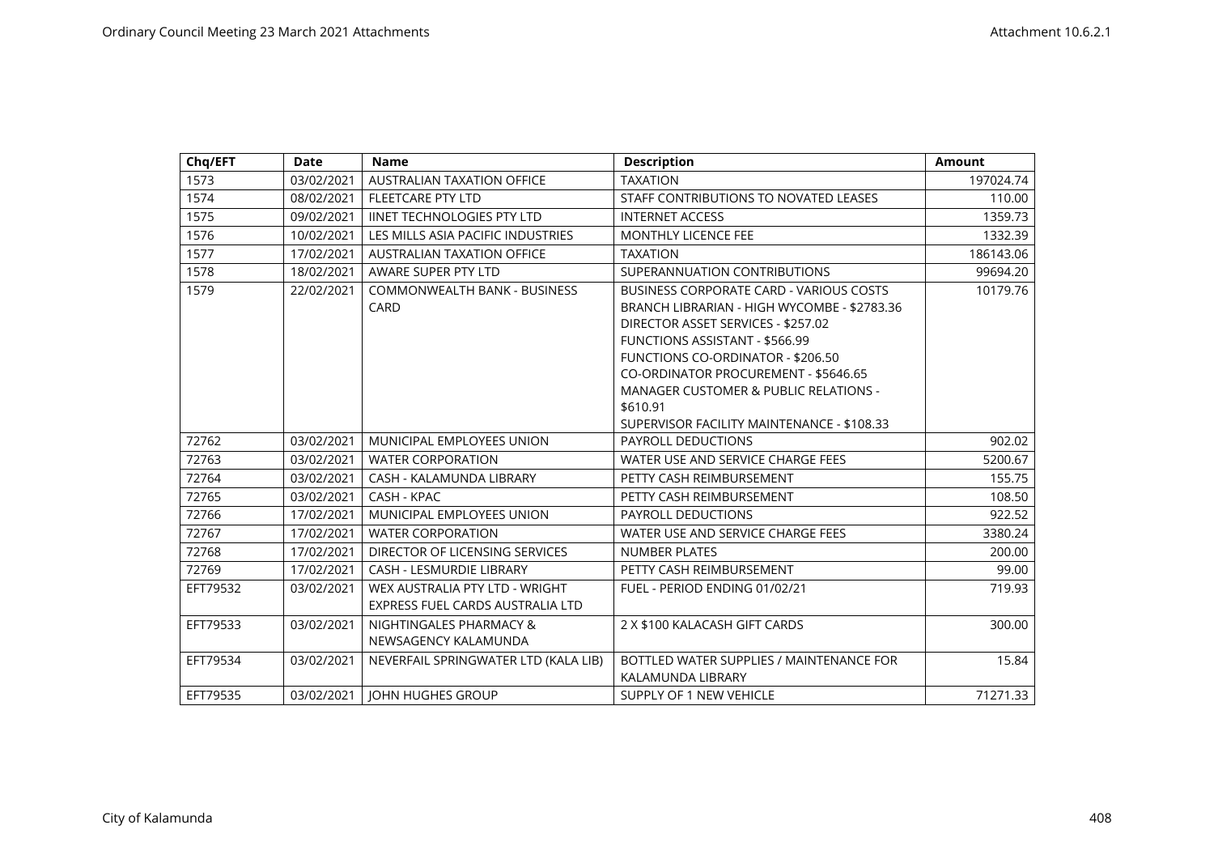| Chq/EFT  | <b>Date</b> | <b>Name</b>                                                        | <b>Description</b>                                                                                                                                                                                                                                                                                                                                                             | <b>Amount</b> |
|----------|-------------|--------------------------------------------------------------------|--------------------------------------------------------------------------------------------------------------------------------------------------------------------------------------------------------------------------------------------------------------------------------------------------------------------------------------------------------------------------------|---------------|
| 1573     | 03/02/2021  | AUSTRALIAN TAXATION OFFICE                                         | <b>TAXATION</b>                                                                                                                                                                                                                                                                                                                                                                | 197024.74     |
| 1574     | 08/02/2021  | FLEETCARE PTY LTD                                                  | STAFF CONTRIBUTIONS TO NOVATED LEASES                                                                                                                                                                                                                                                                                                                                          | 110.00        |
| 1575     | 09/02/2021  | <b>IINET TECHNOLOGIES PTY LTD</b>                                  | <b>INTERNET ACCESS</b>                                                                                                                                                                                                                                                                                                                                                         | 1359.73       |
| 1576     | 10/02/2021  | LES MILLS ASIA PACIFIC INDUSTRIES                                  | <b>MONTHLY LICENCE FEE</b>                                                                                                                                                                                                                                                                                                                                                     | 1332.39       |
| 1577     | 17/02/2021  | <b>AUSTRALIAN TAXATION OFFICE</b>                                  | <b>TAXATION</b>                                                                                                                                                                                                                                                                                                                                                                | 186143.06     |
| 1578     | 18/02/2021  | AWARE SUPER PTY LTD                                                | SUPERANNUATION CONTRIBUTIONS                                                                                                                                                                                                                                                                                                                                                   | 99694.20      |
| 1579     | 22/02/2021  | <b>COMMONWEALTH BANK - BUSINESS</b><br>CARD                        | <b>BUSINESS CORPORATE CARD - VARIOUS COSTS</b><br>BRANCH LIBRARIAN - HIGH WYCOMBE - \$2783.36<br>DIRECTOR ASSET SERVICES - \$257.02<br><b>FUNCTIONS ASSISTANT - \$566.99</b><br><b>FUNCTIONS CO-ORDINATOR - \$206.50</b><br>CO-ORDINATOR PROCUREMENT - \$5646.65<br><b>MANAGER CUSTOMER &amp; PUBLIC RELATIONS -</b><br>\$610.91<br>SUPERVISOR FACILITY MAINTENANCE - \$108.33 | 10179.76      |
| 72762    | 03/02/2021  | MUNICIPAL EMPLOYEES UNION                                          | PAYROLL DEDUCTIONS                                                                                                                                                                                                                                                                                                                                                             | 902.02        |
| 72763    | 03/02/2021  | <b>WATER CORPORATION</b>                                           | WATER USE AND SERVICE CHARGE FEES                                                                                                                                                                                                                                                                                                                                              | 5200.67       |
| 72764    | 03/02/2021  | CASH - KALAMUNDA LIBRARY                                           | PETTY CASH REIMBURSEMENT                                                                                                                                                                                                                                                                                                                                                       | 155.75        |
| 72765    | 03/02/2021  | CASH - KPAC                                                        | PETTY CASH REIMBURSEMENT                                                                                                                                                                                                                                                                                                                                                       | 108.50        |
| 72766    | 17/02/2021  | MUNICIPAL EMPLOYEES UNION                                          | PAYROLL DEDUCTIONS                                                                                                                                                                                                                                                                                                                                                             | 922.52        |
| 72767    | 17/02/2021  | <b>WATER CORPORATION</b>                                           | WATER USE AND SERVICE CHARGE FEES                                                                                                                                                                                                                                                                                                                                              | 3380.24       |
| 72768    | 17/02/2021  | DIRECTOR OF LICENSING SERVICES                                     | <b>NUMBER PLATES</b>                                                                                                                                                                                                                                                                                                                                                           | 200.00        |
| 72769    | 17/02/2021  | <b>CASH - LESMURDIE LIBRARY</b>                                    | PETTY CASH REIMBURSEMENT                                                                                                                                                                                                                                                                                                                                                       | 99.00         |
| EFT79532 | 03/02/2021  | WEX AUSTRALIA PTY LTD - WRIGHT<br>EXPRESS FUEL CARDS AUSTRALIA LTD | FUEL - PERIOD ENDING 01/02/21                                                                                                                                                                                                                                                                                                                                                  | 719.93        |
| EFT79533 | 03/02/2021  | NIGHTINGALES PHARMACY &<br>NEWSAGENCY KALAMUNDA                    | 2 X \$100 KALACASH GIFT CARDS                                                                                                                                                                                                                                                                                                                                                  | 300.00        |
| EFT79534 | 03/02/2021  | NEVERFAIL SPRINGWATER LTD (KALA LIB)                               | BOTTLED WATER SUPPLIES / MAINTENANCE FOR<br>KALAMUNDA LIBRARY                                                                                                                                                                                                                                                                                                                  | 15.84         |
| EFT79535 | 03/02/2021  | <b>IOHN HUGHES GROUP</b>                                           | <b>SUPPLY OF 1 NEW VEHICLE</b>                                                                                                                                                                                                                                                                                                                                                 | 71271.33      |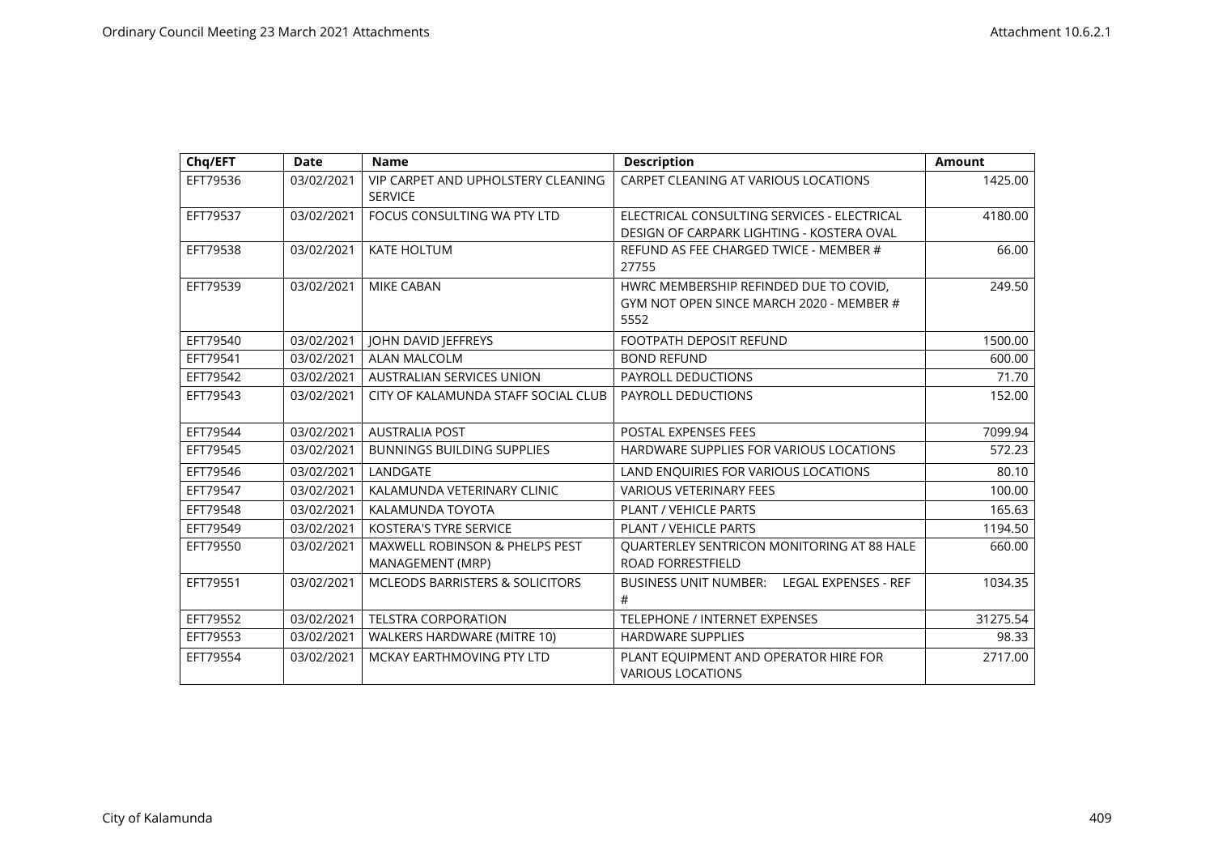| Chq/EFT  | <b>Date</b> | <b>Name</b>                                                   | <b>Description</b>                                                                         | <b>Amount</b> |
|----------|-------------|---------------------------------------------------------------|--------------------------------------------------------------------------------------------|---------------|
| EFT79536 | 03/02/2021  | VIP CARPET AND UPHOLSTERY CLEANING<br><b>SERVICE</b>          | CARPET CLEANING AT VARIOUS LOCATIONS                                                       | 1425.00       |
| EFT79537 | 03/02/2021  | FOCUS CONSULTING WA PTY LTD                                   | ELECTRICAL CONSULTING SERVICES - ELECTRICAL<br>DESIGN OF CARPARK LIGHTING - KOSTERA OVAL   | 4180.00       |
| EFT79538 | 03/02/2021  | <b>KATE HOLTUM</b>                                            | REFUND AS FEE CHARGED TWICE - MEMBER #<br>27755                                            | 66.00         |
| EFT79539 | 03/02/2021  | <b>MIKE CABAN</b>                                             | HWRC MEMBERSHIP REFINDED DUE TO COVID,<br>GYM NOT OPEN SINCE MARCH 2020 - MEMBER #<br>5552 | 249.50        |
| EFT79540 | 03/02/2021  | JOHN DAVID JEFFREYS                                           | <b>FOOTPATH DEPOSIT REFUND</b>                                                             | 1500.00       |
| EFT79541 | 03/02/2021  | <b>ALAN MALCOLM</b>                                           | <b>BOND REFUND</b>                                                                         | 600.00        |
| EFT79542 | 03/02/2021  | <b>AUSTRALIAN SERVICES UNION</b>                              | PAYROLL DEDUCTIONS                                                                         | 71.70         |
| EFT79543 | 03/02/2021  | CITY OF KALAMUNDA STAFF SOCIAL CLUB                           | <b>PAYROLL DEDUCTIONS</b>                                                                  | 152.00        |
| EFT79544 | 03/02/2021  | <b>AUSTRALIA POST</b>                                         | POSTAL EXPENSES FEES                                                                       | 7099.94       |
| EFT79545 | 03/02/2021  | <b>BUNNINGS BUILDING SUPPLIES</b>                             | HARDWARE SUPPLIES FOR VARIOUS LOCATIONS                                                    | 572.23        |
| EFT79546 | 03/02/2021  | LANDGATE                                                      | LAND ENQUIRIES FOR VARIOUS LOCATIONS                                                       | 80.10         |
| EFT79547 | 03/02/2021  | KALAMUNDA VETERINARY CLINIC                                   | <b>VARIOUS VETERINARY FEES</b>                                                             | 100.00        |
| EFT79548 | 03/02/2021  | KALAMUNDA TOYOTA                                              | PLANT / VEHICLE PARTS                                                                      | 165.63        |
| EFT79549 | 03/02/2021  | <b>KOSTERA'S TYRE SERVICE</b>                                 | PLANT / VEHICLE PARTS                                                                      | 1194.50       |
| EFT79550 | 03/02/2021  | <b>MAXWELL ROBINSON &amp; PHELPS PEST</b><br>MANAGEMENT (MRP) | QUARTERLEY SENTRICON MONITORING AT 88 HALE<br><b>ROAD FORRESTFIELD</b>                     | 660.00        |
| EFT79551 | 03/02/2021  | <b>MCLEODS BARRISTERS &amp; SOLICITORS</b>                    | <b>BUSINESS UNIT NUMBER:</b><br><b>LEGAL EXPENSES - REF</b><br>#                           | 1034.35       |
| EFT79552 | 03/02/2021  | <b>TELSTRA CORPORATION</b>                                    | <b>TELEPHONE / INTERNET EXPENSES</b>                                                       | 31275.54      |
| EFT79553 | 03/02/2021  | WALKERS HARDWARE (MITRE 10)                                   | <b>HARDWARE SUPPLIES</b>                                                                   | 98.33         |
| EFT79554 | 03/02/2021  | MCKAY EARTHMOVING PTY LTD                                     | PLANT EQUIPMENT AND OPERATOR HIRE FOR<br><b>VARIOUS LOCATIONS</b>                          | 2717.00       |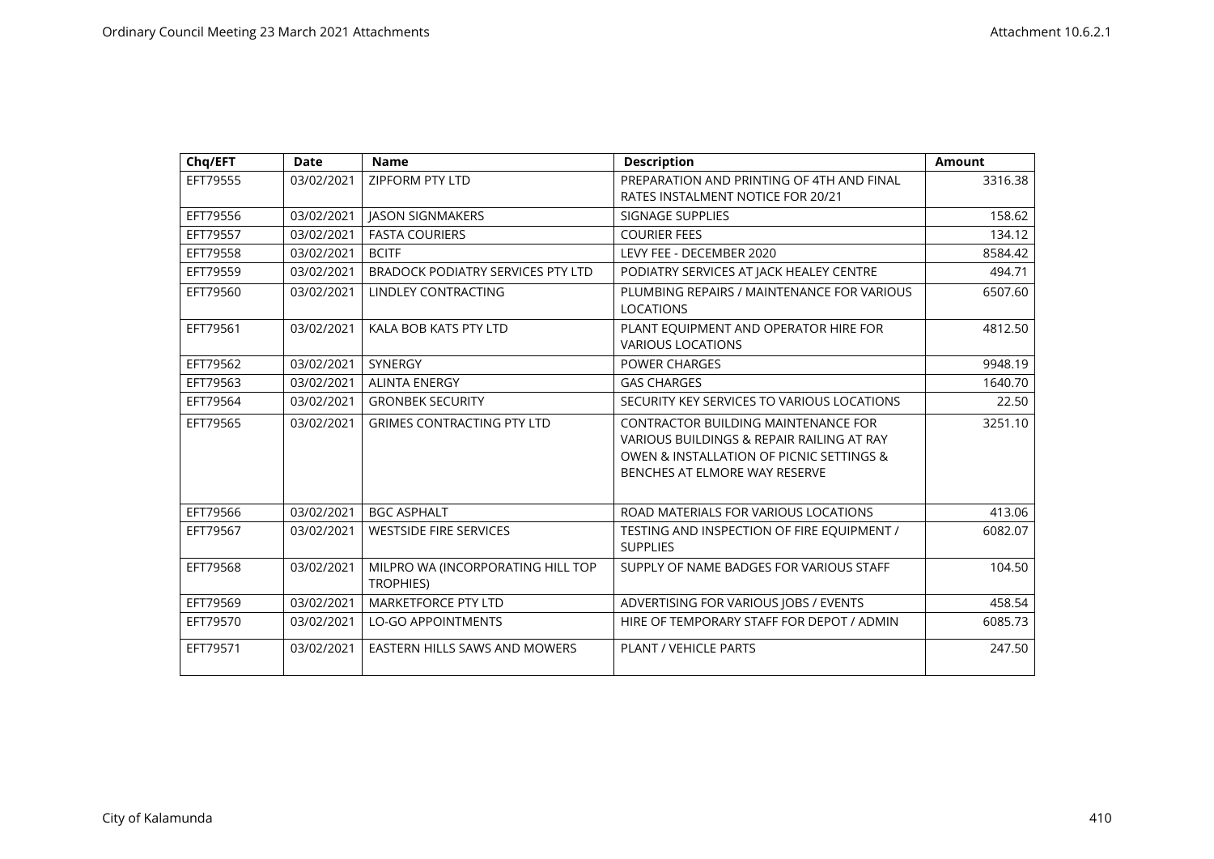| Chq/EFT  | <b>Date</b> | <b>Name</b>                                           | <b>Description</b>                                                                                                                                                   | <b>Amount</b> |
|----------|-------------|-------------------------------------------------------|----------------------------------------------------------------------------------------------------------------------------------------------------------------------|---------------|
| EFT79555 | 03/02/2021  | ZIPFORM PTY LTD                                       | PREPARATION AND PRINTING OF 4TH AND FINAL<br>RATES INSTALMENT NOTICE FOR 20/21                                                                                       | 3316.38       |
| EFT79556 | 03/02/2021  | <b>JASON SIGNMAKERS</b>                               | <b>SIGNAGE SUPPLIES</b>                                                                                                                                              | 158.62        |
| EFT79557 | 03/02/2021  | <b>FASTA COURIERS</b>                                 | <b>COURIER FEES</b>                                                                                                                                                  | 134.12        |
| EFT79558 | 03/02/2021  | <b>BCITF</b>                                          | LEVY FEE - DECEMBER 2020                                                                                                                                             | 8584.42       |
| EFT79559 | 03/02/2021  | BRADOCK PODIATRY SERVICES PTY LTD                     | PODIATRY SERVICES AT JACK HEALEY CENTRE                                                                                                                              | 494.71        |
| EFT79560 | 03/02/2021  | <b>LINDLEY CONTRACTING</b>                            | PLUMBING REPAIRS / MAINTENANCE FOR VARIOUS<br><b>LOCATIONS</b>                                                                                                       | 6507.60       |
| EFT79561 | 03/02/2021  | KALA BOB KATS PTY LTD                                 | PLANT EQUIPMENT AND OPERATOR HIRE FOR<br><b>VARIOUS LOCATIONS</b>                                                                                                    | 4812.50       |
| EFT79562 | 03/02/2021  | <b>SYNERGY</b>                                        | <b>POWER CHARGES</b>                                                                                                                                                 | 9948.19       |
| EFT79563 | 03/02/2021  | <b>ALINTA ENERGY</b>                                  | <b>GAS CHARGES</b>                                                                                                                                                   | 1640.70       |
| EFT79564 | 03/02/2021  | <b>GRONBEK SECURITY</b>                               | SECURITY KEY SERVICES TO VARIOUS LOCATIONS                                                                                                                           | 22.50         |
| EFT79565 | 03/02/2021  | <b>GRIMES CONTRACTING PTY LTD</b>                     | <b>CONTRACTOR BUILDING MAINTENANCE FOR</b><br>VARIOUS BUILDINGS & REPAIR RAILING AT RAY<br>OWEN & INSTALLATION OF PICNIC SETTINGS &<br>BENCHES AT ELMORE WAY RESERVE | 3251.10       |
| EFT79566 | 03/02/2021  | <b>BGC ASPHALT</b>                                    | ROAD MATERIALS FOR VARIOUS LOCATIONS                                                                                                                                 | 413.06        |
| EFT79567 | 03/02/2021  | <b>WESTSIDE FIRE SERVICES</b>                         | TESTING AND INSPECTION OF FIRE EQUIPMENT /<br><b>SUPPLIES</b>                                                                                                        | 6082.07       |
| EFT79568 | 03/02/2021  | MILPRO WA (INCORPORATING HILL TOP<br><b>TROPHIES)</b> | SUPPLY OF NAME BADGES FOR VARIOUS STAFF                                                                                                                              | 104.50        |
| EFT79569 | 03/02/2021  | MARKETFORCE PTY LTD                                   | ADVERTISING FOR VARIOUS JOBS / EVENTS                                                                                                                                | 458.54        |
| EFT79570 | 03/02/2021  | <b>LO-GO APPOINTMENTS</b>                             | HIRE OF TEMPORARY STAFF FOR DEPOT / ADMIN                                                                                                                            | 6085.73       |
| EFT79571 | 03/02/2021  | EASTERN HILLS SAWS AND MOWERS                         | <b>PLANT / VEHICLE PARTS</b>                                                                                                                                         | 247.50        |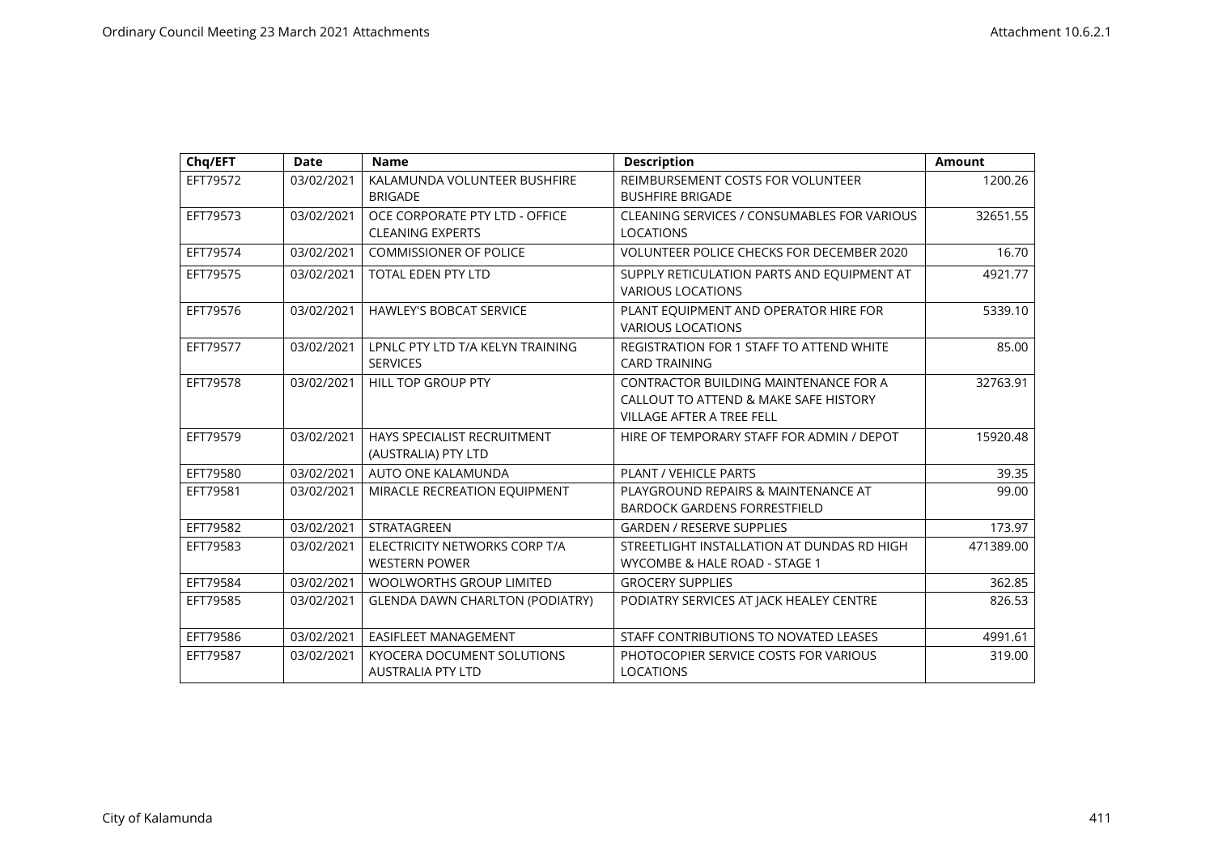| Chq/EFT  | <b>Date</b> | <b>Name</b>                                               | <b>Description</b>                                                                                                 | <b>Amount</b> |
|----------|-------------|-----------------------------------------------------------|--------------------------------------------------------------------------------------------------------------------|---------------|
| EFT79572 | 03/02/2021  | KALAMUNDA VOLUNTEER BUSHFIRE<br><b>BRIGADE</b>            | REIMBURSEMENT COSTS FOR VOLUNTEER<br><b>BUSHFIRE BRIGADE</b>                                                       | 1200.26       |
| EFT79573 | 03/02/2021  | OCE CORPORATE PTY LTD - OFFICE<br><b>CLEANING EXPERTS</b> | CLEANING SERVICES / CONSUMABLES FOR VARIOUS<br><b>LOCATIONS</b>                                                    | 32651.55      |
| EFT79574 | 03/02/2021  | <b>COMMISSIONER OF POLICE</b>                             | VOLUNTEER POLICE CHECKS FOR DECEMBER 2020                                                                          | 16.70         |
| EFT79575 | 03/02/2021  | <b>TOTAL EDEN PTY LTD</b>                                 | SUPPLY RETICULATION PARTS AND EQUIPMENT AT<br><b>VARIOUS LOCATIONS</b>                                             | 4921.77       |
| EFT79576 | 03/02/2021  | <b>HAWLEY'S BOBCAT SERVICE</b>                            | PLANT EQUIPMENT AND OPERATOR HIRE FOR<br><b>VARIOUS LOCATIONS</b>                                                  | 5339.10       |
| EFT79577 | 03/02/2021  | LPNLC PTY LTD T/A KELYN TRAINING<br><b>SERVICES</b>       | REGISTRATION FOR 1 STAFF TO ATTEND WHITE<br><b>CARD TRAINING</b>                                                   | 85.00         |
| EFT79578 | 03/02/2021  | <b>HILL TOP GROUP PTY</b>                                 | CONTRACTOR BUILDING MAINTENANCE FOR A<br>CALLOUT TO ATTEND & MAKE SAFE HISTORY<br><b>VILLAGE AFTER A TREE FELL</b> | 32763.91      |
| EFT79579 | 03/02/2021  | HAYS SPECIALIST RECRUITMENT<br>(AUSTRALIA) PTY LTD        | HIRE OF TEMPORARY STAFF FOR ADMIN / DEPOT                                                                          | 15920.48      |
| EFT79580 | 03/02/2021  | AUTO ONE KALAMUNDA                                        | PLANT / VEHICLE PARTS                                                                                              | 39.35         |
| EFT79581 | 03/02/2021  | MIRACLE RECREATION EQUIPMENT                              | PLAYGROUND REPAIRS & MAINTENANCE AT<br><b>BARDOCK GARDENS FORRESTFIELD</b>                                         | 99.00         |
| EFT79582 | 03/02/2021  | <b>STRATAGREEN</b>                                        | <b>GARDEN / RESERVE SUPPLIES</b>                                                                                   | 173.97        |
| EFT79583 | 03/02/2021  | ELECTRICITY NETWORKS CORP T/A<br><b>WESTERN POWER</b>     | STREETLIGHT INSTALLATION AT DUNDAS RD HIGH<br>WYCOMBE & HALE ROAD - STAGE 1                                        | 471389.00     |
| EFT79584 | 03/02/2021  | <b>WOOLWORTHS GROUP LIMITED</b>                           | <b>GROCERY SUPPLIES</b>                                                                                            | 362.85        |
| EFT79585 | 03/02/2021  | <b>GLENDA DAWN CHARLTON (PODIATRY)</b>                    | PODIATRY SERVICES AT JACK HEALEY CENTRE                                                                            | 826.53        |
| EFT79586 | 03/02/2021  | <b>EASIFLEET MANAGEMENT</b>                               | STAFF CONTRIBUTIONS TO NOVATED LEASES                                                                              | 4991.61       |
| EFT79587 | 03/02/2021  | KYOCERA DOCUMENT SOLUTIONS<br><b>AUSTRALIA PTY LTD</b>    | PHOTOCOPIER SERVICE COSTS FOR VARIOUS<br><b>LOCATIONS</b>                                                          | 319.00        |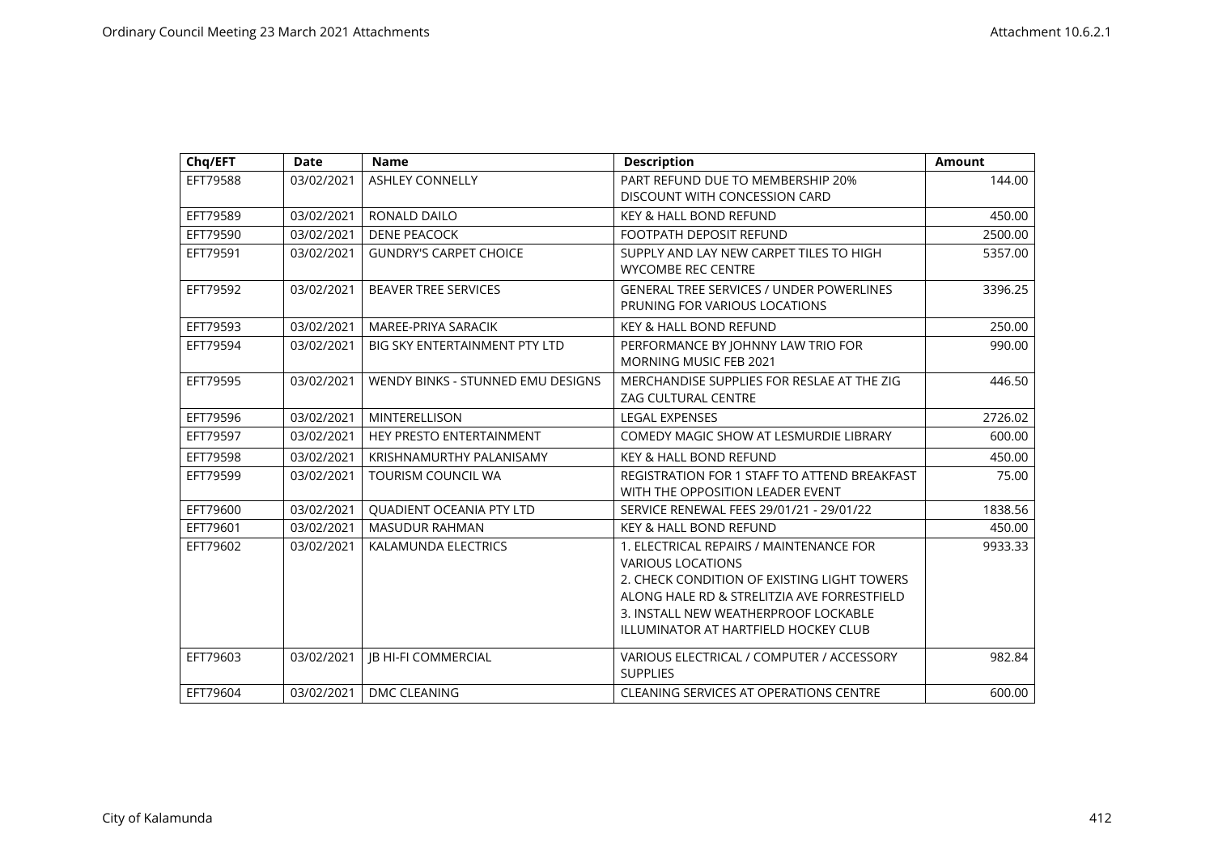| Chq/EFT  | <b>Date</b> | <b>Name</b>                          | <b>Description</b>                              | <b>Amount</b> |
|----------|-------------|--------------------------------------|-------------------------------------------------|---------------|
| EFT79588 | 03/02/2021  | <b>ASHLEY CONNELLY</b>               | PART REFUND DUE TO MEMBERSHIP 20%               | 144.00        |
|          |             |                                      | DISCOUNT WITH CONCESSION CARD                   |               |
| EFT79589 | 03/02/2021  | RONALD DAILO                         | <b>KEY &amp; HALL BOND REFUND</b>               | 450.00        |
| EFT79590 | 03/02/2021  | <b>DENE PEACOCK</b>                  | FOOTPATH DEPOSIT REFUND                         | 2500.00       |
| EFT79591 | 03/02/2021  | <b>GUNDRY'S CARPET CHOICE</b>        | SUPPLY AND LAY NEW CARPET TILES TO HIGH         | 5357.00       |
|          |             |                                      | <b>WYCOMBE REC CENTRE</b>                       |               |
| EFT79592 | 03/02/2021  | <b>BEAVER TREE SERVICES</b>          | <b>GENERAL TREE SERVICES / UNDER POWERLINES</b> | 3396.25       |
|          |             |                                      | PRUNING FOR VARIOUS LOCATIONS                   |               |
| EFT79593 | 03/02/2021  | MAREE-PRIYA SARACIK                  | <b>KEY &amp; HALL BOND REFUND</b>               | 250.00        |
| EFT79594 | 03/02/2021  | <b>BIG SKY ENTERTAINMENT PTY LTD</b> | PERFORMANCE BY JOHNNY LAW TRIO FOR              | 990.00        |
|          |             |                                      | <b>MORNING MUSIC FEB 2021</b>                   |               |
| EFT79595 | 03/02/2021  | WENDY BINKS - STUNNED EMU DESIGNS    | MERCHANDISE SUPPLIES FOR RESLAE AT THE ZIG      | 446.50        |
|          |             |                                      | <b>ZAG CULTURAL CENTRE</b>                      |               |
| EFT79596 | 03/02/2021  | <b>MINTERELLISON</b>                 | <b>LEGAL EXPENSES</b>                           | 2726.02       |
| EFT79597 | 03/02/2021  | HEY PRESTO ENTERTAINMENT             | COMEDY MAGIC SHOW AT LESMURDIE LIBRARY          | 600.00        |
| EFT79598 | 03/02/2021  | KRISHNAMURTHY PALANISAMY             | <b>KEY &amp; HALL BOND REFUND</b>               | 450.00        |
| EFT79599 | 03/02/2021  | <b>TOURISM COUNCIL WA</b>            | REGISTRATION FOR 1 STAFF TO ATTEND BREAKFAST    | 75.00         |
|          |             |                                      | WITH THE OPPOSITION LEADER EVENT                |               |
| EFT79600 | 03/02/2021  | <b>OUADIENT OCEANIA PTY LTD</b>      | SERVICE RENEWAL FEES 29/01/21 - 29/01/22        | 1838.56       |
| EFT79601 | 03/02/2021  | <b>MASUDUR RAHMAN</b>                | <b>KEY &amp; HALL BOND REFUND</b>               | 450.00        |
| EFT79602 | 03/02/2021  | KALAMUNDA ELECTRICS                  | 1. ELECTRICAL REPAIRS / MAINTENANCE FOR         | 9933.33       |
|          |             |                                      | <b>VARIOUS LOCATIONS</b>                        |               |
|          |             |                                      | 2. CHECK CONDITION OF EXISTING LIGHT TOWERS     |               |
|          |             |                                      | ALONG HALE RD & STRELITZIA AVE FORRESTFIELD     |               |
|          |             |                                      | 3. INSTALL NEW WEATHERPROOF LOCKABLE            |               |
|          |             |                                      | ILLUMINATOR AT HARTFIELD HOCKEY CLUB            |               |
| EFT79603 | 03/02/2021  | <b>IB HI-FI COMMERCIAL</b>           | VARIOUS ELECTRICAL / COMPUTER / ACCESSORY       | 982.84        |
|          |             |                                      | <b>SUPPLIES</b>                                 |               |
| EFT79604 | 03/02/2021  | DMC CLEANING                         | CLEANING SERVICES AT OPERATIONS CENTRE          | 600.00        |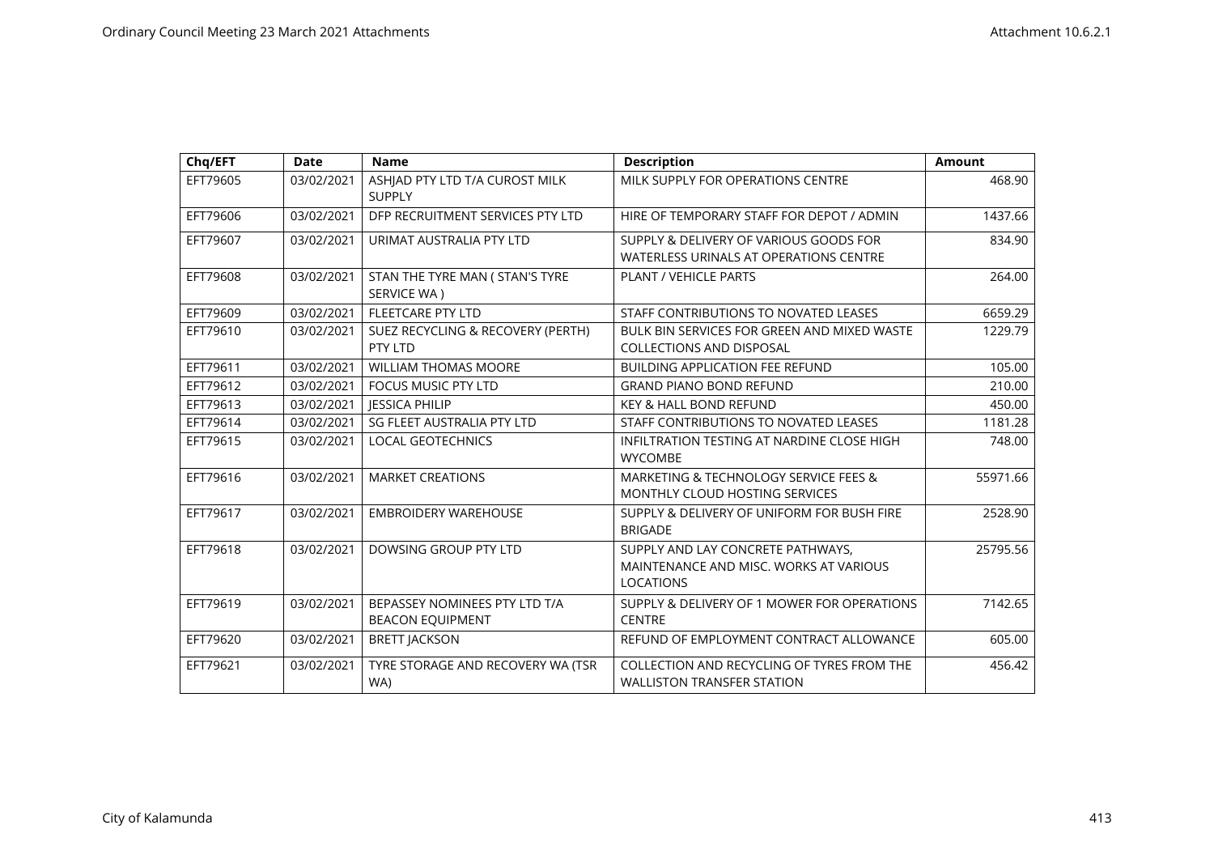| Chq/EFT  | <b>Date</b> | <b>Name</b>                                              | <b>Description</b>                                                                              | <b>Amount</b> |
|----------|-------------|----------------------------------------------------------|-------------------------------------------------------------------------------------------------|---------------|
| EFT79605 | 03/02/2021  | ASHJAD PTY LTD T/A CUROST MILK<br><b>SUPPLY</b>          | MILK SUPPLY FOR OPERATIONS CENTRE                                                               | 468.90        |
| EFT79606 | 03/02/2021  | DFP RECRUITMENT SERVICES PTY LTD                         | HIRE OF TEMPORARY STAFF FOR DEPOT / ADMIN                                                       | 1437.66       |
| EFT79607 | 03/02/2021  | URIMAT AUSTRALIA PTY LTD                                 | SUPPLY & DELIVERY OF VARIOUS GOODS FOR<br>WATERLESS URINALS AT OPERATIONS CENTRE                | 834.90        |
| EFT79608 | 03/02/2021  | STAN THE TYRE MAN ( STAN'S TYRE<br>SERVICE WA)           | <b>PLANT / VEHICLE PARTS</b>                                                                    | 264.00        |
| EFT79609 | 03/02/2021  | FLEETCARE PTY LTD                                        | STAFF CONTRIBUTIONS TO NOVATED LEASES                                                           | 6659.29       |
| EFT79610 | 03/02/2021  | SUEZ RECYCLING & RECOVERY (PERTH)<br>PTY LTD             | BULK BIN SERVICES FOR GREEN AND MIXED WASTE<br><b>COLLECTIONS AND DISPOSAL</b>                  | 1229.79       |
| EFT79611 | 03/02/2021  | <b>WILLIAM THOMAS MOORE</b>                              | <b>BUILDING APPLICATION FEE REFUND</b>                                                          | 105.00        |
| EFT79612 | 03/02/2021  | FOCUS MUSIC PTY LTD                                      | <b>GRAND PIANO BOND REFUND</b>                                                                  | 210.00        |
| EFT79613 | 03/02/2021  | <b>JESSICA PHILIP</b>                                    | <b>KEY &amp; HALL BOND REFUND</b>                                                               | 450.00        |
| EFT79614 | 03/02/2021  | SG FLEET AUSTRALIA PTY LTD                               | STAFF CONTRIBUTIONS TO NOVATED LEASES                                                           | 1181.28       |
| EFT79615 | 03/02/2021  | <b>LOCAL GEOTECHNICS</b>                                 | INFILTRATION TESTING AT NARDINE CLOSE HIGH<br><b>WYCOMBE</b>                                    | 748.00        |
| EFT79616 | 03/02/2021  | <b>MARKET CREATIONS</b>                                  | MARKETING & TECHNOLOGY SERVICE FEES &<br><b>MONTHLY CLOUD HOSTING SERVICES</b>                  | 55971.66      |
| EFT79617 | 03/02/2021  | <b>EMBROIDERY WAREHOUSE</b>                              | SUPPLY & DELIVERY OF UNIFORM FOR BUSH FIRE<br><b>BRIGADE</b>                                    | 2528.90       |
| EFT79618 | 03/02/2021  | DOWSING GROUP PTY LTD                                    | SUPPLY AND LAY CONCRETE PATHWAYS,<br>MAINTENANCE AND MISC. WORKS AT VARIOUS<br><b>LOCATIONS</b> | 25795.56      |
| EFT79619 | 03/02/2021  | BEPASSEY NOMINEES PTY LTD T/A<br><b>BEACON EQUIPMENT</b> | SUPPLY & DELIVERY OF 1 MOWER FOR OPERATIONS<br><b>CENTRE</b>                                    | 7142.65       |
| EFT79620 | 03/02/2021  | <b>BRETT JACKSON</b>                                     | REFUND OF EMPLOYMENT CONTRACT ALLOWANCE                                                         | 605.00        |
| EFT79621 | 03/02/2021  | TYRE STORAGE AND RECOVERY WA (TSR<br>WA)                 | COLLECTION AND RECYCLING OF TYRES FROM THE<br><b>WALLISTON TRANSFER STATION</b>                 | 456.42        |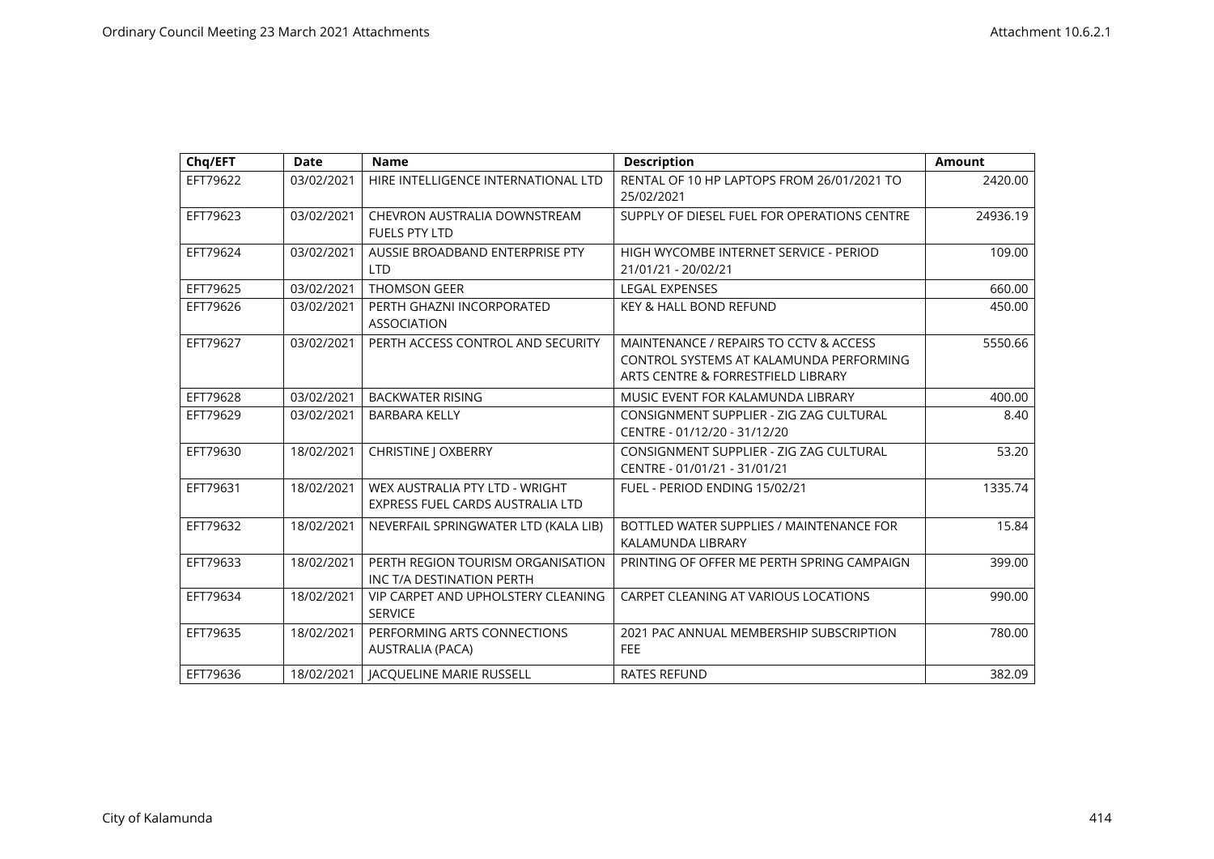| Chq/EFT  | <b>Date</b> | <b>Name</b>                                                        | <b>Description</b>                                                                                                      | <b>Amount</b> |
|----------|-------------|--------------------------------------------------------------------|-------------------------------------------------------------------------------------------------------------------------|---------------|
| EFT79622 | 03/02/2021  | HIRE INTELLIGENCE INTERNATIONAL LTD                                | RENTAL OF 10 HP LAPTOPS FROM 26/01/2021 TO<br>25/02/2021                                                                | 2420.00       |
| EFT79623 | 03/02/2021  | CHEVRON AUSTRALIA DOWNSTREAM<br><b>FUELS PTY LTD</b>               | SUPPLY OF DIESEL FUEL FOR OPERATIONS CENTRE                                                                             | 24936.19      |
| EFT79624 | 03/02/2021  | AUSSIE BROADBAND ENTERPRISE PTY<br><b>LTD</b>                      | HIGH WYCOMBE INTERNET SERVICE - PERIOD<br>21/01/21 - 20/02/21                                                           | 109.00        |
| EFT79625 | 03/02/2021  | <b>THOMSON GEER</b>                                                | <b>LEGAL EXPENSES</b>                                                                                                   | 660.00        |
| EFT79626 | 03/02/2021  | PERTH GHAZNI INCORPORATED<br><b>ASSOCIATION</b>                    | <b>KEY &amp; HALL BOND REFUND</b>                                                                                       | 450.00        |
| EFT79627 | 03/02/2021  | PERTH ACCESS CONTROL AND SECURITY                                  | MAINTENANCE / REPAIRS TO CCTV & ACCESS<br>CONTROL SYSTEMS AT KALAMUNDA PERFORMING<br>ARTS CENTRE & FORRESTFIELD LIBRARY | 5550.66       |
| EFT79628 | 03/02/2021  | <b>BACKWATER RISING</b>                                            | MUSIC EVENT FOR KALAMUNDA LIBRARY                                                                                       | 400.00        |
| EFT79629 | 03/02/2021  | <b>BARBARA KELLY</b>                                               | CONSIGNMENT SUPPLIER - ZIG ZAG CULTURAL<br>CENTRE - 01/12/20 - 31/12/20                                                 | 8.40          |
| EFT79630 | 18/02/2021  | <b>CHRISTINE J OXBERRY</b>                                         | CONSIGNMENT SUPPLIER - ZIG ZAG CULTURAL<br>CENTRE - 01/01/21 - 31/01/21                                                 | 53.20         |
| EFT79631 | 18/02/2021  | WEX AUSTRALIA PTY LTD - WRIGHT<br>EXPRESS FUEL CARDS AUSTRALIA LTD | FUEL - PERIOD ENDING 15/02/21                                                                                           | 1335.74       |
| EFT79632 | 18/02/2021  | NEVERFAIL SPRINGWATER LTD (KALA LIB)                               | BOTTLED WATER SUPPLIES / MAINTENANCE FOR<br>KALAMUNDA LIBRARY                                                           | 15.84         |
| EFT79633 | 18/02/2021  | PERTH REGION TOURISM ORGANISATION<br>INC T/A DESTINATION PERTH     | PRINTING OF OFFER ME PERTH SPRING CAMPAIGN                                                                              | 399.00        |
| EFT79634 | 18/02/2021  | VIP CARPET AND UPHOLSTERY CLEANING<br><b>SERVICE</b>               | CARPET CLEANING AT VARIOUS LOCATIONS                                                                                    | 990.00        |
| EFT79635 | 18/02/2021  | PERFORMING ARTS CONNECTIONS<br><b>AUSTRALIA (PACA)</b>             | 2021 PAC ANNUAL MEMBERSHIP SUBSCRIPTION<br><b>FEE</b>                                                                   | 780.00        |
| EFT79636 | 18/02/2021  | <b>JACQUELINE MARIE RUSSELL</b>                                    | <b>RATES REFUND</b>                                                                                                     | 382.09        |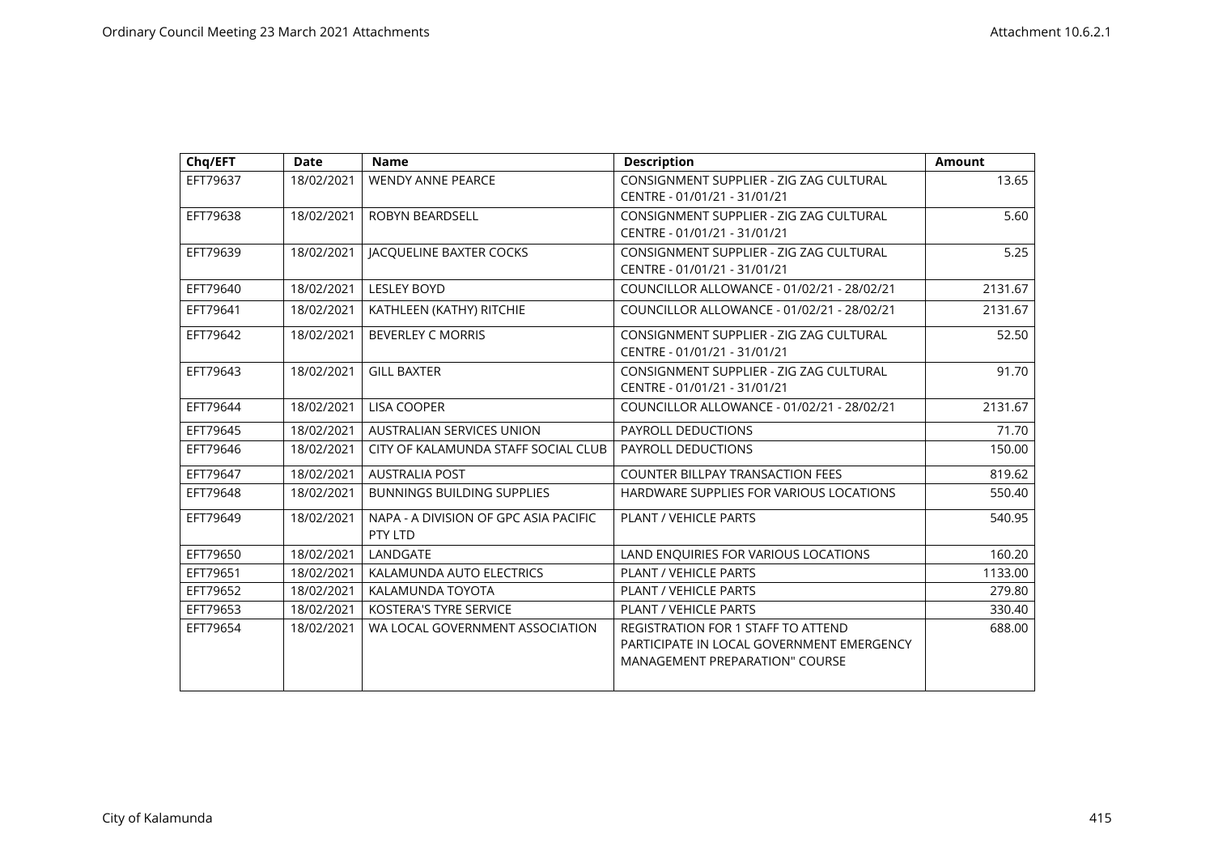| Chq/EFT  | <b>Date</b> | <b>Name</b>                                      | <b>Description</b>                                                                                                              | <b>Amount</b> |
|----------|-------------|--------------------------------------------------|---------------------------------------------------------------------------------------------------------------------------------|---------------|
| EFT79637 | 18/02/2021  | <b>WENDY ANNE PEARCE</b>                         | CONSIGNMENT SUPPLIER - ZIG ZAG CULTURAL<br>CENTRE - 01/01/21 - 31/01/21                                                         | 13.65         |
| EFT79638 | 18/02/2021  | <b>ROBYN BEARDSELL</b>                           | CONSIGNMENT SUPPLIER - ZIG ZAG CULTURAL<br>CENTRE - 01/01/21 - 31/01/21                                                         | 5.60          |
| EFT79639 | 18/02/2021  | <b>JACQUELINE BAXTER COCKS</b>                   | CONSIGNMENT SUPPLIER - ZIG ZAG CULTURAL<br>CENTRE - 01/01/21 - 31/01/21                                                         | 5.25          |
| EFT79640 | 18/02/2021  | <b>LESLEY BOYD</b>                               | COUNCILLOR ALLOWANCE - 01/02/21 - 28/02/21                                                                                      | 2131.67       |
| EFT79641 | 18/02/2021  | KATHLEEN (KATHY) RITCHIE                         | COUNCILLOR ALLOWANCE - 01/02/21 - 28/02/21                                                                                      | 2131.67       |
| EFT79642 | 18/02/2021  | <b>BEVERLEY C MORRIS</b>                         | CONSIGNMENT SUPPLIER - ZIG ZAG CULTURAL<br>CENTRE - 01/01/21 - 31/01/21                                                         | 52.50         |
| EFT79643 | 18/02/2021  | <b>GILL BAXTER</b>                               | CONSIGNMENT SUPPLIER - ZIG ZAG CULTURAL<br>CENTRE - 01/01/21 - 31/01/21                                                         | 91.70         |
| EFT79644 | 18/02/2021  | <b>LISA COOPER</b>                               | COUNCILLOR ALLOWANCE - 01/02/21 - 28/02/21                                                                                      | 2131.67       |
| EFT79645 | 18/02/2021  | <b>AUSTRALIAN SERVICES UNION</b>                 | PAYROLL DEDUCTIONS                                                                                                              | 71.70         |
| EFT79646 | 18/02/2021  | CITY OF KALAMUNDA STAFF SOCIAL CLUB              | PAYROLL DEDUCTIONS                                                                                                              | 150.00        |
| EFT79647 | 18/02/2021  | <b>AUSTRALIA POST</b>                            | <b>COUNTER BILLPAY TRANSACTION FEES</b>                                                                                         | 819.62        |
| EFT79648 | 18/02/2021  | <b>BUNNINGS BUILDING SUPPLIES</b>                | HARDWARE SUPPLIES FOR VARIOUS LOCATIONS                                                                                         | 550.40        |
| EFT79649 | 18/02/2021  | NAPA - A DIVISION OF GPC ASIA PACIFIC<br>PTY LTD | PLANT / VEHICLE PARTS                                                                                                           | 540.95        |
| EFT79650 | 18/02/2021  | LANDGATE                                         | LAND ENQUIRIES FOR VARIOUS LOCATIONS                                                                                            | 160.20        |
| EFT79651 | 18/02/2021  | KALAMUNDA AUTO ELECTRICS                         | PLANT / VEHICLE PARTS                                                                                                           | 1133.00       |
| EFT79652 | 18/02/2021  | KALAMUNDA TOYOTA                                 | <b>PLANT / VEHICLE PARTS</b>                                                                                                    | 279.80        |
| EFT79653 | 18/02/2021  | KOSTERA'S TYRE SERVICE                           | PLANT / VEHICLE PARTS                                                                                                           | 330.40        |
| EFT79654 | 18/02/2021  | WA LOCAL GOVERNMENT ASSOCIATION                  | <b>REGISTRATION FOR 1 STAFF TO ATTEND</b><br>PARTICIPATE IN LOCAL GOVERNMENT EMERGENCY<br><b>MANAGEMENT PREPARATION" COURSE</b> | 688.00        |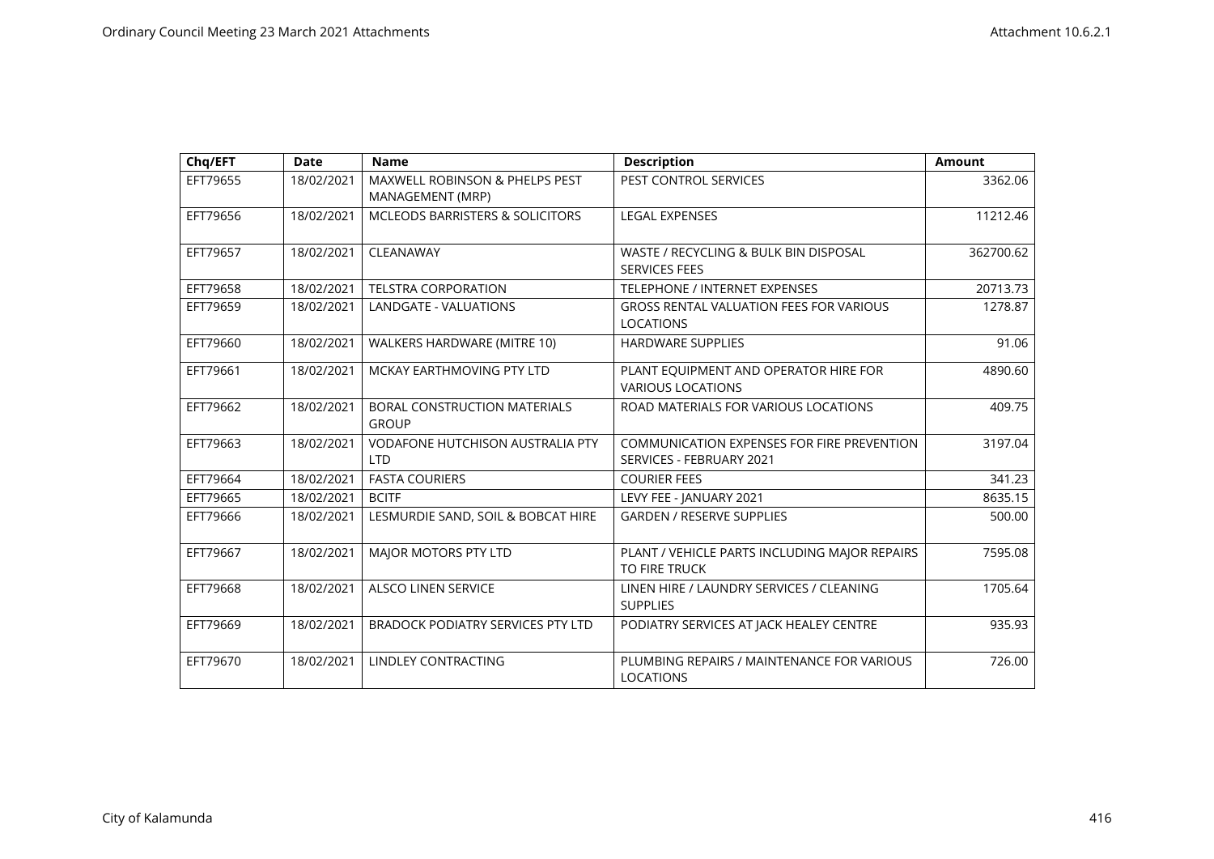| Chq/EFT  | <b>Date</b> | <b>Name</b>                                                   | <b>Description</b>                                                     | <b>Amount</b> |
|----------|-------------|---------------------------------------------------------------|------------------------------------------------------------------------|---------------|
| EFT79655 | 18/02/2021  | <b>MAXWELL ROBINSON &amp; PHELPS PEST</b><br>MANAGEMENT (MRP) | PEST CONTROL SERVICES                                                  | 3362.06       |
| EFT79656 | 18/02/2021  | <b>MCLEODS BARRISTERS &amp; SOLICITORS</b>                    | <b>LEGAL EXPENSES</b>                                                  | 11212.46      |
| EFT79657 | 18/02/2021  | CLEANAWAY                                                     | WASTE / RECYCLING & BULK BIN DISPOSAL<br><b>SERVICES FEES</b>          | 362700.62     |
| EFT79658 | 18/02/2021  | <b>TELSTRA CORPORATION</b>                                    | <b>TELEPHONE / INTERNET EXPENSES</b>                                   | 20713.73      |
| EFT79659 | 18/02/2021  | <b>LANDGATE - VALUATIONS</b>                                  | <b>GROSS RENTAL VALUATION FEES FOR VARIOUS</b><br><b>LOCATIONS</b>     | 1278.87       |
| EFT79660 | 18/02/2021  | WALKERS HARDWARE (MITRE 10)                                   | <b>HARDWARE SUPPLIES</b>                                               | 91.06         |
| EFT79661 | 18/02/2021  | MCKAY EARTHMOVING PTY LTD                                     | PLANT EQUIPMENT AND OPERATOR HIRE FOR<br><b>VARIOUS LOCATIONS</b>      | 4890.60       |
| EFT79662 | 18/02/2021  | <b>BORAL CONSTRUCTION MATERIALS</b><br><b>GROUP</b>           | ROAD MATERIALS FOR VARIOUS LOCATIONS                                   | 409.75        |
| EFT79663 | 18/02/2021  | <b>VODAFONE HUTCHISON AUSTRALIA PTY</b><br><b>LTD</b>         | COMMUNICATION EXPENSES FOR FIRE PREVENTION<br>SERVICES - FEBRUARY 2021 | 3197.04       |
| EFT79664 | 18/02/2021  | <b>FASTA COURIERS</b>                                         | <b>COURIER FEES</b>                                                    | 341.23        |
| EFT79665 | 18/02/2021  | <b>BCITF</b>                                                  | LEVY FEE - JANUARY 2021                                                | 8635.15       |
| EFT79666 | 18/02/2021  | LESMURDIE SAND, SOIL & BOBCAT HIRE                            | <b>GARDEN / RESERVE SUPPLIES</b>                                       | 500.00        |
| EFT79667 | 18/02/2021  | MAJOR MOTORS PTY LTD                                          | PLANT / VEHICLE PARTS INCLUDING MAJOR REPAIRS<br><b>TO FIRE TRUCK</b>  | 7595.08       |
| EFT79668 | 18/02/2021  | <b>ALSCO LINEN SERVICE</b>                                    | LINEN HIRE / LAUNDRY SERVICES / CLEANING<br><b>SUPPLIES</b>            | 1705.64       |
| EFT79669 | 18/02/2021  | <b>BRADOCK PODIATRY SERVICES PTY LTD</b>                      | PODIATRY SERVICES AT JACK HEALEY CENTRE                                | 935.93        |
| EFT79670 | 18/02/2021  | <b>LINDLEY CONTRACTING</b>                                    | PLUMBING REPAIRS / MAINTENANCE FOR VARIOUS<br><b>LOCATIONS</b>         | 726.00        |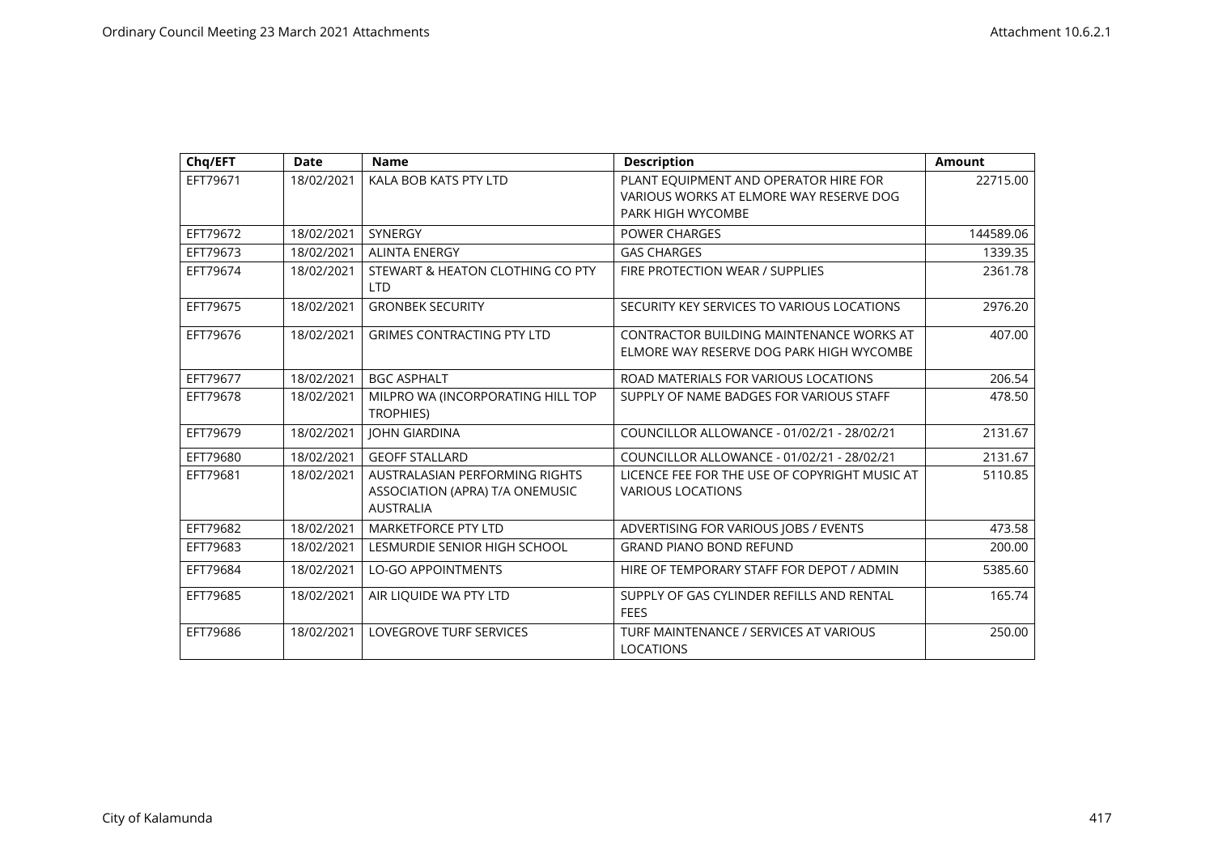| Chq/EFT  | <b>Date</b> | <b>Name</b>                                                                                  | <b>Description</b>                                                                                    | <b>Amount</b> |
|----------|-------------|----------------------------------------------------------------------------------------------|-------------------------------------------------------------------------------------------------------|---------------|
| EFT79671 | 18/02/2021  | KALA BOB KATS PTY LTD                                                                        | PLANT EQUIPMENT AND OPERATOR HIRE FOR<br>VARIOUS WORKS AT ELMORE WAY RESERVE DOG<br>PARK HIGH WYCOMBE | 22715.00      |
| EFT79672 | 18/02/2021  | <b>SYNERGY</b>                                                                               | <b>POWER CHARGES</b>                                                                                  | 144589.06     |
| EFT79673 | 18/02/2021  | <b>ALINTA ENERGY</b>                                                                         | <b>GAS CHARGES</b>                                                                                    | 1339.35       |
| EFT79674 | 18/02/2021  | STEWART & HEATON CLOTHING CO PTY<br><b>LTD</b>                                               | FIRE PROTECTION WEAR / SUPPLIES                                                                       | 2361.78       |
| EFT79675 | 18/02/2021  | <b>GRONBEK SECURITY</b>                                                                      | SECURITY KEY SERVICES TO VARIOUS LOCATIONS                                                            | 2976.20       |
| EFT79676 | 18/02/2021  | <b>GRIMES CONTRACTING PTY LTD</b>                                                            | CONTRACTOR BUILDING MAINTENANCE WORKS AT<br>ELMORE WAY RESERVE DOG PARK HIGH WYCOMBE                  | 407.00        |
| EFT79677 | 18/02/2021  | <b>BGC ASPHALT</b>                                                                           | ROAD MATERIALS FOR VARIOUS LOCATIONS                                                                  | 206.54        |
| EFT79678 | 18/02/2021  | MILPRO WA (INCORPORATING HILL TOP<br>TROPHIES)                                               | SUPPLY OF NAME BADGES FOR VARIOUS STAFF                                                               | 478.50        |
| EFT79679 | 18/02/2021  | <b>JOHN GIARDINA</b>                                                                         | COUNCILLOR ALLOWANCE - 01/02/21 - 28/02/21                                                            | 2131.67       |
| EFT79680 | 18/02/2021  | <b>GEOFF STALLARD</b>                                                                        | COUNCILLOR ALLOWANCE - 01/02/21 - 28/02/21                                                            | 2131.67       |
| EFT79681 | 18/02/2021  | <b>AUSTRALASIAN PERFORMING RIGHTS</b><br>ASSOCIATION (APRA) T/A ONEMUSIC<br><b>AUSTRALIA</b> | LICENCE FEE FOR THE USE OF COPYRIGHT MUSIC AT<br><b>VARIOUS LOCATIONS</b>                             | 5110.85       |
| EFT79682 | 18/02/2021  | <b>MARKETFORCE PTY LTD</b>                                                                   | ADVERTISING FOR VARIOUS JOBS / EVENTS                                                                 | 473.58        |
| EFT79683 | 18/02/2021  | LESMURDIE SENIOR HIGH SCHOOL                                                                 | <b>GRAND PIANO BOND REFUND</b>                                                                        | 200.00        |
| EFT79684 | 18/02/2021  | <b>LO-GO APPOINTMENTS</b>                                                                    | HIRE OF TEMPORARY STAFF FOR DEPOT / ADMIN                                                             | 5385.60       |
| EFT79685 | 18/02/2021  | AIR LIQUIDE WA PTY LTD                                                                       | SUPPLY OF GAS CYLINDER REFILLS AND RENTAL<br><b>FEES</b>                                              | 165.74        |
| EFT79686 | 18/02/2021  | <b>LOVEGROVE TURF SERVICES</b>                                                               | TURF MAINTENANCE / SERVICES AT VARIOUS<br><b>LOCATIONS</b>                                            | 250.00        |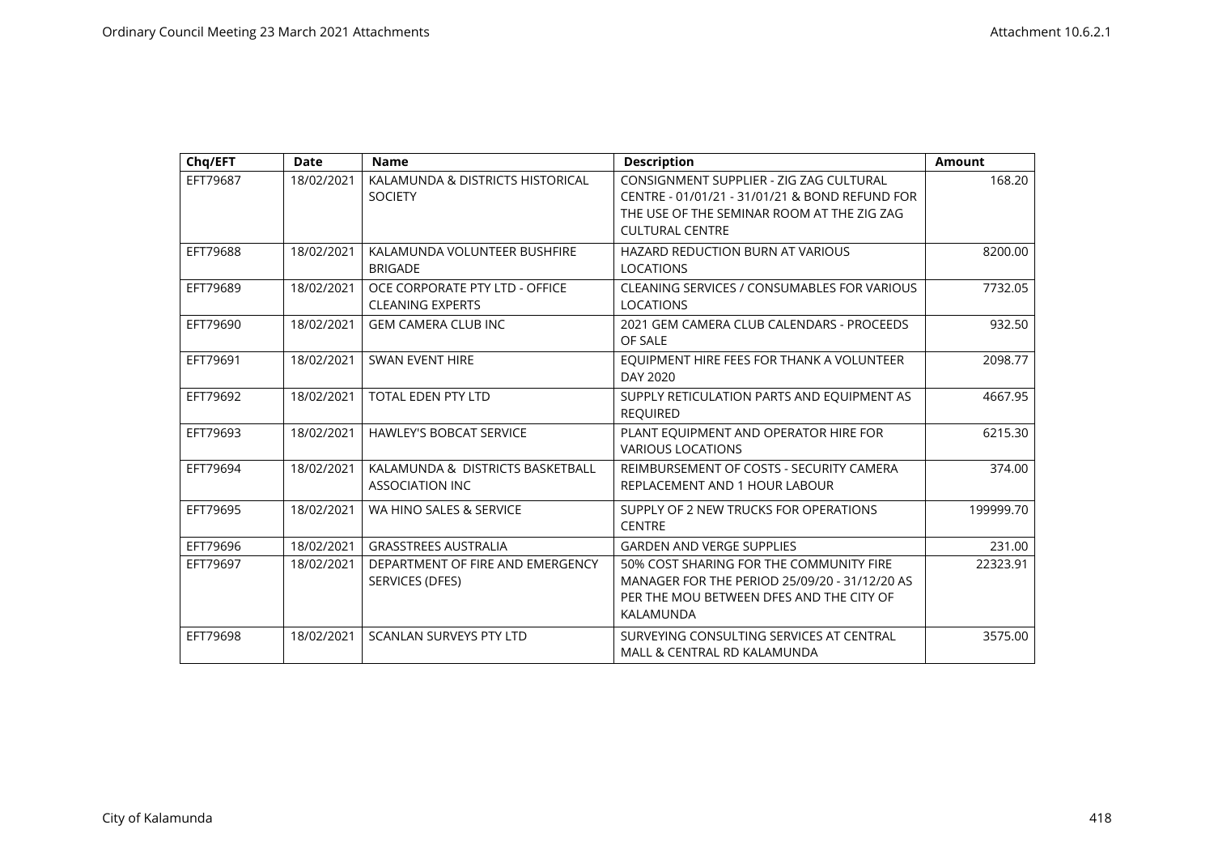| Chq/EFT  | <b>Date</b> | <b>Name</b>                                                | <b>Description</b>                                                                                                                                                | <b>Amount</b> |
|----------|-------------|------------------------------------------------------------|-------------------------------------------------------------------------------------------------------------------------------------------------------------------|---------------|
| EFT79687 | 18/02/2021  | KALAMUNDA & DISTRICTS HISTORICAL<br><b>SOCIETY</b>         | CONSIGNMENT SUPPLIER - ZIG ZAG CULTURAL<br>CENTRE - 01/01/21 - 31/01/21 & BOND REFUND FOR<br>THE USE OF THE SEMINAR ROOM AT THE ZIG ZAG<br><b>CULTURAL CENTRE</b> | 168.20        |
| EFT79688 | 18/02/2021  | KALAMUNDA VOLUNTEER BUSHFIRE<br><b>BRIGADE</b>             | <b>HAZARD REDUCTION BURN AT VARIOUS</b><br><b>LOCATIONS</b>                                                                                                       | 8200.00       |
| EFT79689 | 18/02/2021  | OCE CORPORATE PTY LTD - OFFICE<br><b>CLEANING EXPERTS</b>  | CLEANING SERVICES / CONSUMABLES FOR VARIOUS<br><b>LOCATIONS</b>                                                                                                   | 7732.05       |
| EFT79690 | 18/02/2021  | <b>GEM CAMERA CLUB INC</b>                                 | 2021 GEM CAMERA CLUB CALENDARS - PROCEEDS<br>OF SALE                                                                                                              | 932.50        |
| EFT79691 | 18/02/2021  | <b>SWAN EVENT HIRE</b>                                     | EQUIPMENT HIRE FEES FOR THANK A VOLUNTEER<br>DAY 2020                                                                                                             | 2098.77       |
| EFT79692 | 18/02/2021  | <b>TOTAL EDEN PTY LTD</b>                                  | SUPPLY RETICULATION PARTS AND EQUIPMENT AS<br><b>REOUIRED</b>                                                                                                     | 4667.95       |
| EFT79693 | 18/02/2021  | <b>HAWLEY'S BOBCAT SERVICE</b>                             | PLANT EQUIPMENT AND OPERATOR HIRE FOR<br><b>VARIOUS LOCATIONS</b>                                                                                                 | 6215.30       |
| EFT79694 | 18/02/2021  | KALAMUNDA & DISTRICTS BASKETBALL<br><b>ASSOCIATION INC</b> | REIMBURSEMENT OF COSTS - SECURITY CAMERA<br>REPLACEMENT AND 1 HOUR LABOUR                                                                                         | 374.00        |
| EFT79695 | 18/02/2021  | WA HINO SALES & SERVICE                                    | SUPPLY OF 2 NEW TRUCKS FOR OPERATIONS<br><b>CENTRE</b>                                                                                                            | 199999.70     |
| EFT79696 | 18/02/2021  | <b>GRASSTREES AUSTRALIA</b>                                | <b>GARDEN AND VERGE SUPPLIES</b>                                                                                                                                  | 231.00        |
| EFT79697 | 18/02/2021  | DEPARTMENT OF FIRE AND EMERGENCY<br>SERVICES (DFES)        | 50% COST SHARING FOR THE COMMUNITY FIRE<br>MANAGER FOR THE PERIOD 25/09/20 - 31/12/20 AS<br>PER THE MOU BETWEEN DFES AND THE CITY OF<br>KALAMUNDA                 | 22323.91      |
| EFT79698 | 18/02/2021  | <b>SCANLAN SURVEYS PTY LTD</b>                             | SURVEYING CONSULTING SERVICES AT CENTRAL<br>MALL & CENTRAL RD KALAMUNDA                                                                                           | 3575.00       |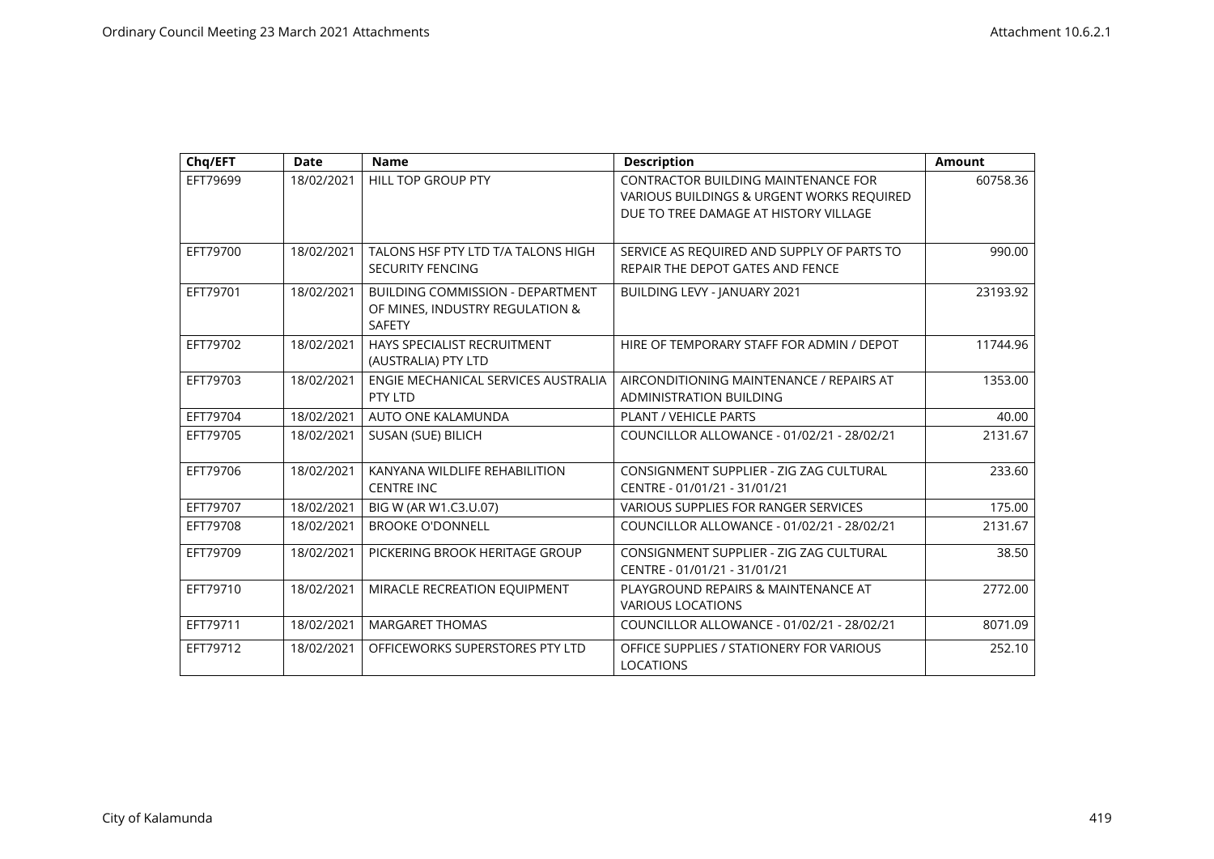| Chq/EFT  | <b>Date</b> | <b>Name</b>                                                                                 | <b>Description</b>                                                                                                        | <b>Amount</b> |
|----------|-------------|---------------------------------------------------------------------------------------------|---------------------------------------------------------------------------------------------------------------------------|---------------|
| EFT79699 | 18/02/2021  | <b>HILL TOP GROUP PTY</b>                                                                   | CONTRACTOR BUILDING MAINTENANCE FOR<br>VARIOUS BUILDINGS & URGENT WORKS REQUIRED<br>DUE TO TREE DAMAGE AT HISTORY VILLAGE | 60758.36      |
| EFT79700 | 18/02/2021  | TALONS HSF PTY LTD T/A TALONS HIGH<br><b>SECURITY FENCING</b>                               | SERVICE AS REQUIRED AND SUPPLY OF PARTS TO<br>REPAIR THE DEPOT GATES AND FENCE                                            | 990.00        |
| EFT79701 | 18/02/2021  | <b>BUILDING COMMISSION - DEPARTMENT</b><br>OF MINES, INDUSTRY REGULATION &<br><b>SAFETY</b> | BUILDING LEVY - JANUARY 2021                                                                                              | 23193.92      |
| EFT79702 | 18/02/2021  | HAYS SPECIALIST RECRUITMENT<br>(AUSTRALIA) PTY LTD                                          | HIRE OF TEMPORARY STAFF FOR ADMIN / DEPOT                                                                                 | 11744.96      |
| EFT79703 | 18/02/2021  | ENGIE MECHANICAL SERVICES AUSTRALIA<br>PTY LTD                                              | AIRCONDITIONING MAINTENANCE / REPAIRS AT<br><b>ADMINISTRATION BUILDING</b>                                                | 1353.00       |
| EFT79704 | 18/02/2021  | AUTO ONE KALAMUNDA                                                                          | PLANT / VEHICLE PARTS                                                                                                     | 40.00         |
| EFT79705 | 18/02/2021  | SUSAN (SUE) BILICH                                                                          | COUNCILLOR ALLOWANCE - 01/02/21 - 28/02/21                                                                                | 2131.67       |
| EFT79706 | 18/02/2021  | KANYANA WILDLIFE REHABILITION<br><b>CENTRE INC</b>                                          | CONSIGNMENT SUPPLIER - ZIG ZAG CULTURAL<br>CENTRE - 01/01/21 - 31/01/21                                                   | 233.60        |
| EFT79707 | 18/02/2021  | BIG W (AR W1.C3.U.07)                                                                       | VARIOUS SUPPLIES FOR RANGER SERVICES                                                                                      | 175.00        |
| EFT79708 | 18/02/2021  | <b>BROOKE O'DONNELL</b>                                                                     | COUNCILLOR ALLOWANCE - 01/02/21 - 28/02/21                                                                                | 2131.67       |
| EFT79709 | 18/02/2021  | PICKERING BROOK HERITAGE GROUP                                                              | CONSIGNMENT SUPPLIER - ZIG ZAG CULTURAL<br>CENTRE - 01/01/21 - 31/01/21                                                   | 38.50         |
| EFT79710 | 18/02/2021  | MIRACLE RECREATION EQUIPMENT                                                                | PLAYGROUND REPAIRS & MAINTENANCE AT<br><b>VARIOUS LOCATIONS</b>                                                           | 2772.00       |
| EFT79711 | 18/02/2021  | <b>MARGARET THOMAS</b>                                                                      | COUNCILLOR ALLOWANCE - 01/02/21 - 28/02/21                                                                                | 8071.09       |
| EFT79712 | 18/02/2021  | OFFICEWORKS SUPERSTORES PTY LTD                                                             | OFFICE SUPPLIES / STATIONERY FOR VARIOUS<br><b>LOCATIONS</b>                                                              | 252.10        |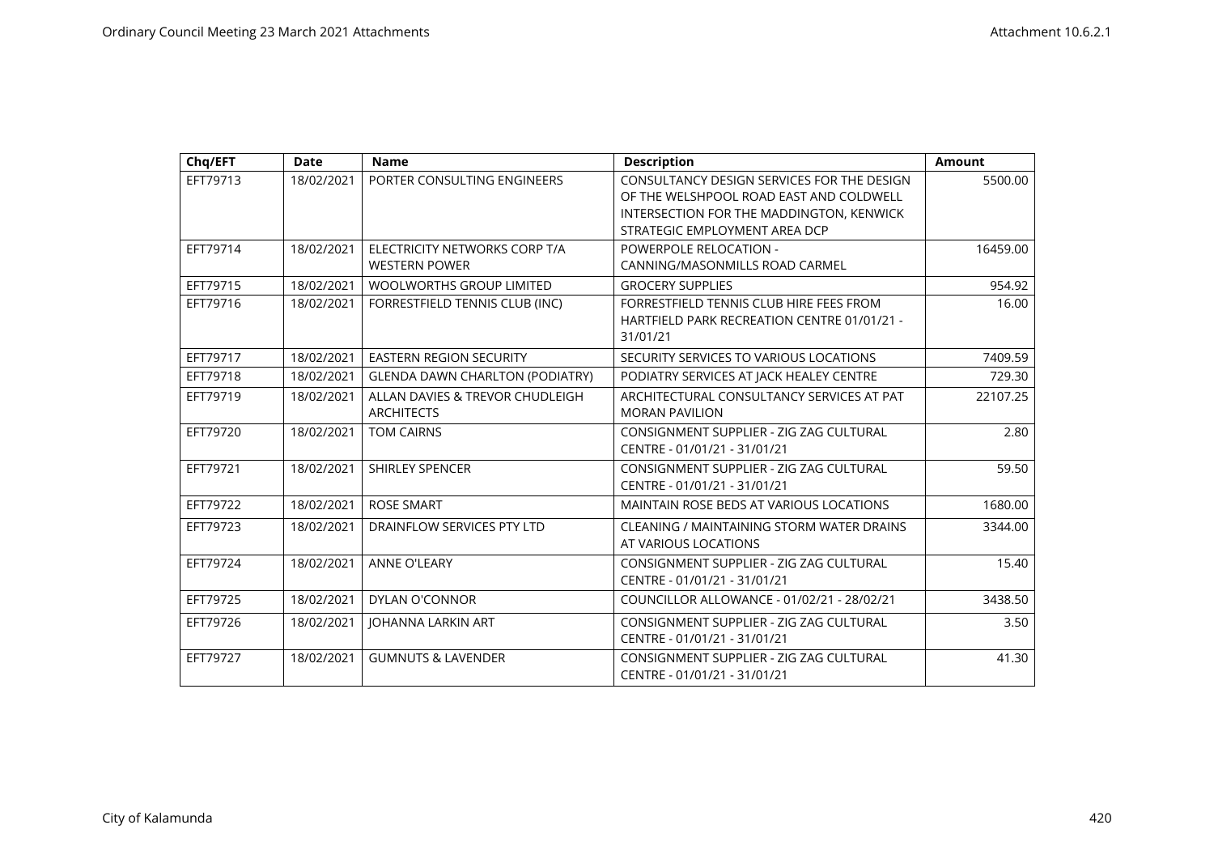| Chq/EFT  | <b>Date</b> | <b>Name</b>                                           | <b>Description</b>                                                                                                                                                 | <b>Amount</b> |
|----------|-------------|-------------------------------------------------------|--------------------------------------------------------------------------------------------------------------------------------------------------------------------|---------------|
| EFT79713 | 18/02/2021  | PORTER CONSULTING ENGINEERS                           | CONSULTANCY DESIGN SERVICES FOR THE DESIGN<br>OF THE WELSHPOOL ROAD EAST AND COLDWELL<br>INTERSECTION FOR THE MADDINGTON, KENWICK<br>STRATEGIC EMPLOYMENT AREA DCP | 5500.00       |
| EFT79714 | 18/02/2021  | ELECTRICITY NETWORKS CORP T/A<br><b>WESTERN POWER</b> | <b>POWERPOLE RELOCATION -</b><br>CANNING/MASONMILLS ROAD CARMEL                                                                                                    | 16459.00      |
| EFT79715 | 18/02/2021  | <b>WOOLWORTHS GROUP LIMITED</b>                       | <b>GROCERY SUPPLIES</b>                                                                                                                                            | 954.92        |
| EFT79716 | 18/02/2021  | FORRESTFIELD TENNIS CLUB (INC)                        | FORRESTFIELD TENNIS CLUB HIRE FEES FROM<br>HARTFIELD PARK RECREATION CENTRE 01/01/21 -<br>31/01/21                                                                 | 16.00         |
| EFT79717 | 18/02/2021  | <b>EASTERN REGION SECURITY</b>                        | SECURITY SERVICES TO VARIOUS LOCATIONS                                                                                                                             | 7409.59       |
| EFT79718 | 18/02/2021  | <b>GLENDA DAWN CHARLTON (PODIATRY)</b>                | PODIATRY SERVICES AT JACK HEALEY CENTRE                                                                                                                            | 729.30        |
| EFT79719 | 18/02/2021  | ALLAN DAVIES & TREVOR CHUDLEIGH<br><b>ARCHITECTS</b>  | ARCHITECTURAL CONSULTANCY SERVICES AT PAT<br><b>MORAN PAVILION</b>                                                                                                 | 22107.25      |
| EFT79720 | 18/02/2021  | <b>TOM CAIRNS</b>                                     | CONSIGNMENT SUPPLIER - ZIG ZAG CULTURAL<br>CENTRE - 01/01/21 - 31/01/21                                                                                            | 2.80          |
| EFT79721 | 18/02/2021  | <b>SHIRLEY SPENCER</b>                                | CONSIGNMENT SUPPLIER - ZIG ZAG CULTURAL<br>CENTRE - 01/01/21 - 31/01/21                                                                                            | 59.50         |
| EFT79722 | 18/02/2021  | <b>ROSE SMART</b>                                     | <b>MAINTAIN ROSE BEDS AT VARIOUS LOCATIONS</b>                                                                                                                     | 1680.00       |
| EFT79723 | 18/02/2021  | DRAINFLOW SERVICES PTY LTD                            | CLEANING / MAINTAINING STORM WATER DRAINS<br>AT VARIOUS LOCATIONS                                                                                                  | 3344.00       |
| EFT79724 | 18/02/2021  | <b>ANNE O'LEARY</b>                                   | CONSIGNMENT SUPPLIER - ZIG ZAG CULTURAL<br>CENTRE - 01/01/21 - 31/01/21                                                                                            | 15.40         |
| EFT79725 | 18/02/2021  | <b>DYLAN O'CONNOR</b>                                 | COUNCILLOR ALLOWANCE - 01/02/21 - 28/02/21                                                                                                                         | 3438.50       |
| EFT79726 | 18/02/2021  | <b>JOHANNA LARKIN ART</b>                             | CONSIGNMENT SUPPLIER - ZIG ZAG CULTURAL<br>CENTRE - 01/01/21 - 31/01/21                                                                                            | 3.50          |
| EFT79727 | 18/02/2021  | <b>GUMNUTS &amp; LAVENDER</b>                         | CONSIGNMENT SUPPLIER - ZIG ZAG CULTURAL<br>CENTRE - 01/01/21 - 31/01/21                                                                                            | 41.30         |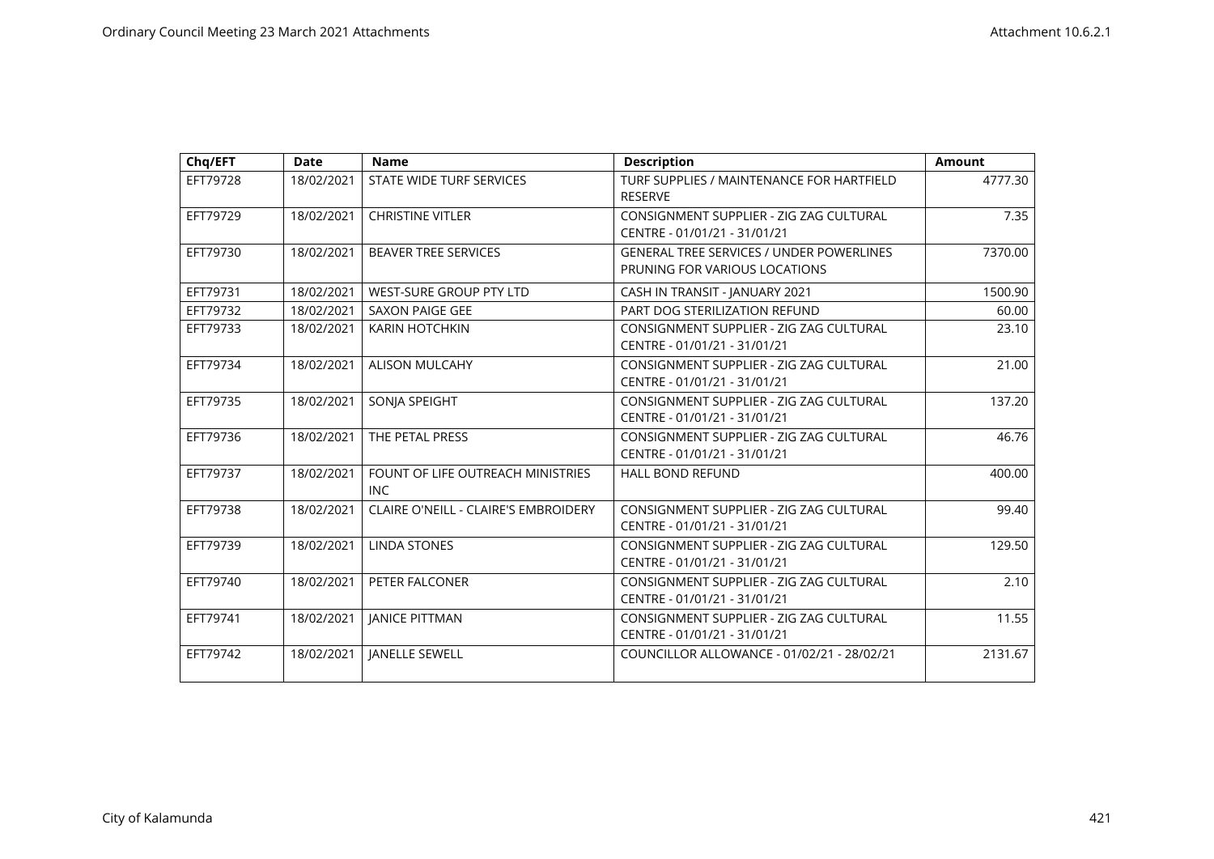| Chq/EFT  | <b>Date</b> | <b>Name</b>                                 | <b>Description</b>                                                               | <b>Amount</b> |
|----------|-------------|---------------------------------------------|----------------------------------------------------------------------------------|---------------|
| EFT79728 | 18/02/2021  | STATE WIDE TURF SERVICES                    | TURF SUPPLIES / MAINTENANCE FOR HARTFIELD<br><b>RESERVE</b>                      | 4777.30       |
| EFT79729 | 18/02/2021  | <b>CHRISTINE VITLER</b>                     | CONSIGNMENT SUPPLIER - ZIG ZAG CULTURAL<br>CENTRE - 01/01/21 - 31/01/21          | 7.35          |
| EFT79730 | 18/02/2021  | <b>BEAVER TREE SERVICES</b>                 | <b>GENERAL TREE SERVICES / UNDER POWERLINES</b><br>PRUNING FOR VARIOUS LOCATIONS | 7370.00       |
| EFT79731 | 18/02/2021  | WEST-SURE GROUP PTY LTD                     | CASH IN TRANSIT - JANUARY 2021                                                   | 1500.90       |
| EFT79732 | 18/02/2021  | <b>SAXON PAIGE GEE</b>                      | PART DOG STERILIZATION REFUND                                                    | 60.00         |
| EFT79733 | 18/02/2021  | <b>KARIN HOTCHKIN</b>                       | CONSIGNMENT SUPPLIER - ZIG ZAG CULTURAL<br>CENTRE - 01/01/21 - 31/01/21          | 23.10         |
| EFT79734 | 18/02/2021  | <b>ALISON MULCAHY</b>                       | CONSIGNMENT SUPPLIER - ZIG ZAG CULTURAL<br>CENTRE - 01/01/21 - 31/01/21          | 21.00         |
| EFT79735 | 18/02/2021  | SONJA SPEIGHT                               | CONSIGNMENT SUPPLIER - ZIG ZAG CULTURAL<br>CENTRE - 01/01/21 - 31/01/21          | 137.20        |
| EFT79736 | 18/02/2021  | THE PETAL PRESS                             | CONSIGNMENT SUPPLIER - ZIG ZAG CULTURAL<br>CENTRE - 01/01/21 - 31/01/21          | 46.76         |
| EFT79737 | 18/02/2021  | FOUNT OF LIFE OUTREACH MINISTRIES<br>INC    | <b>HALL BOND REFUND</b>                                                          | 400.00        |
| EFT79738 | 18/02/2021  | <b>CLAIRE O'NEILL - CLAIRE'S EMBROIDERY</b> | CONSIGNMENT SUPPLIER - ZIG ZAG CULTURAL<br>CENTRE - 01/01/21 - 31/01/21          | 99.40         |
| EFT79739 | 18/02/2021  | <b>LINDA STONES</b>                         | CONSIGNMENT SUPPLIER - ZIG ZAG CULTURAL<br>CENTRE - 01/01/21 - 31/01/21          | 129.50        |
| EFT79740 | 18/02/2021  | PETER FALCONER                              | CONSIGNMENT SUPPLIER - ZIG ZAG CULTURAL<br>CENTRE - 01/01/21 - 31/01/21          | 2.10          |
| EFT79741 | 18/02/2021  | <b>JANICE PITTMAN</b>                       | CONSIGNMENT SUPPLIER - ZIG ZAG CULTURAL<br>CENTRE - 01/01/21 - 31/01/21          | 11.55         |
| EFT79742 | 18/02/2021  | <b>JANELLE SEWELL</b>                       | COUNCILLOR ALLOWANCE - 01/02/21 - 28/02/21                                       | 2131.67       |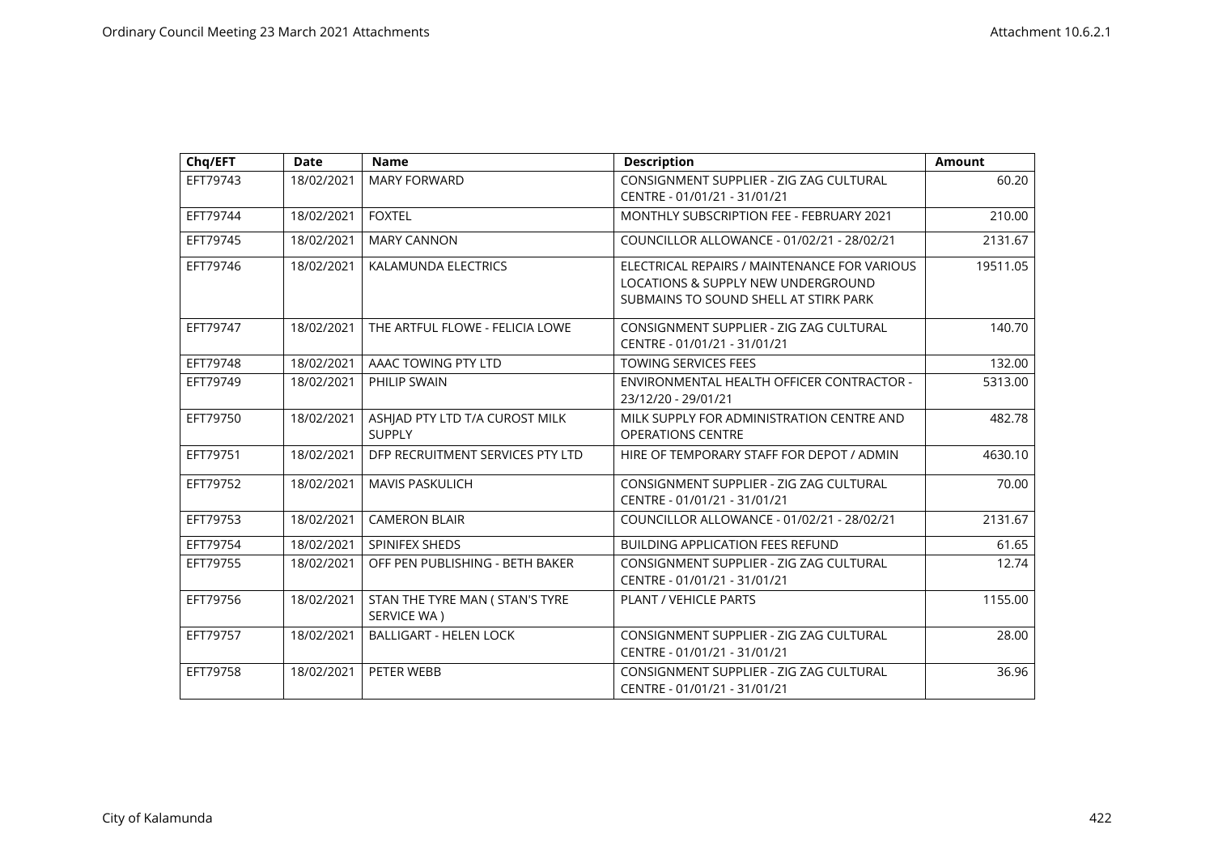| Chq/EFT  | <b>Date</b> | <b>Name</b>                                     | <b>Description</b>                                                                                                          | <b>Amount</b> |
|----------|-------------|-------------------------------------------------|-----------------------------------------------------------------------------------------------------------------------------|---------------|
| EFT79743 | 18/02/2021  | <b>MARY FORWARD</b>                             | CONSIGNMENT SUPPLIER - ZIG ZAG CULTURAL<br>CENTRE - 01/01/21 - 31/01/21                                                     | 60.20         |
| EFT79744 | 18/02/2021  | <b>FOXTEL</b>                                   | MONTHLY SUBSCRIPTION FEE - FEBRUARY 2021                                                                                    | 210.00        |
| EFT79745 | 18/02/2021  | <b>MARY CANNON</b>                              | COUNCILLOR ALLOWANCE - 01/02/21 - 28/02/21                                                                                  | 2131.67       |
| EFT79746 | 18/02/2021  | KALAMUNDA ELECTRICS                             | ELECTRICAL REPAIRS / MAINTENANCE FOR VARIOUS<br>LOCATIONS & SUPPLY NEW UNDERGROUND<br>SUBMAINS TO SOUND SHELL AT STIRK PARK | 19511.05      |
| EFT79747 | 18/02/2021  | THE ARTFUL FLOWE - FELICIA LOWE                 | CONSIGNMENT SUPPLIER - ZIG ZAG CULTURAL<br>CENTRE - 01/01/21 - 31/01/21                                                     | 140.70        |
| EFT79748 | 18/02/2021  | AAAC TOWING PTY LTD                             | <b>TOWING SERVICES FEES</b>                                                                                                 | 132.00        |
| EFT79749 | 18/02/2021  | PHILIP SWAIN                                    | ENVIRONMENTAL HEALTH OFFICER CONTRACTOR -<br>23/12/20 - 29/01/21                                                            | 5313.00       |
| EFT79750 | 18/02/2021  | ASHJAD PTY LTD T/A CUROST MILK<br><b>SUPPLY</b> | MILK SUPPLY FOR ADMINISTRATION CENTRE AND<br>OPERATIONS CENTRE                                                              | 482.78        |
| EFT79751 | 18/02/2021  | DFP RECRUITMENT SERVICES PTY LTD                | HIRE OF TEMPORARY STAFF FOR DEPOT / ADMIN                                                                                   | 4630.10       |
| EFT79752 | 18/02/2021  | <b>MAVIS PASKULICH</b>                          | CONSIGNMENT SUPPLIER - ZIG ZAG CULTURAL<br>CENTRE - 01/01/21 - 31/01/21                                                     | 70.00         |
| EFT79753 | 18/02/2021  | <b>CAMERON BLAIR</b>                            | COUNCILLOR ALLOWANCE - 01/02/21 - 28/02/21                                                                                  | 2131.67       |
| EFT79754 | 18/02/2021  | SPINIFEX SHEDS                                  | <b>BUILDING APPLICATION FEES REFUND</b>                                                                                     | 61.65         |
| EFT79755 | 18/02/2021  | OFF PEN PUBLISHING - BETH BAKER                 | CONSIGNMENT SUPPLIER - ZIG ZAG CULTURAL<br>CENTRE - 01/01/21 - 31/01/21                                                     | 12.74         |
| EFT79756 | 18/02/2021  | STAN THE TYRE MAN ( STAN'S TYRE<br>SERVICE WA)  | PLANT / VEHICLE PARTS                                                                                                       | 1155.00       |
| EFT79757 | 18/02/2021  | <b>BALLIGART - HELEN LOCK</b>                   | CONSIGNMENT SUPPLIER - ZIG ZAG CULTURAL<br>CENTRE - 01/01/21 - 31/01/21                                                     | 28.00         |
| EFT79758 | 18/02/2021  | PETER WEBB                                      | CONSIGNMENT SUPPLIER - ZIG ZAG CULTURAL<br>CENTRE - 01/01/21 - 31/01/21                                                     | 36.96         |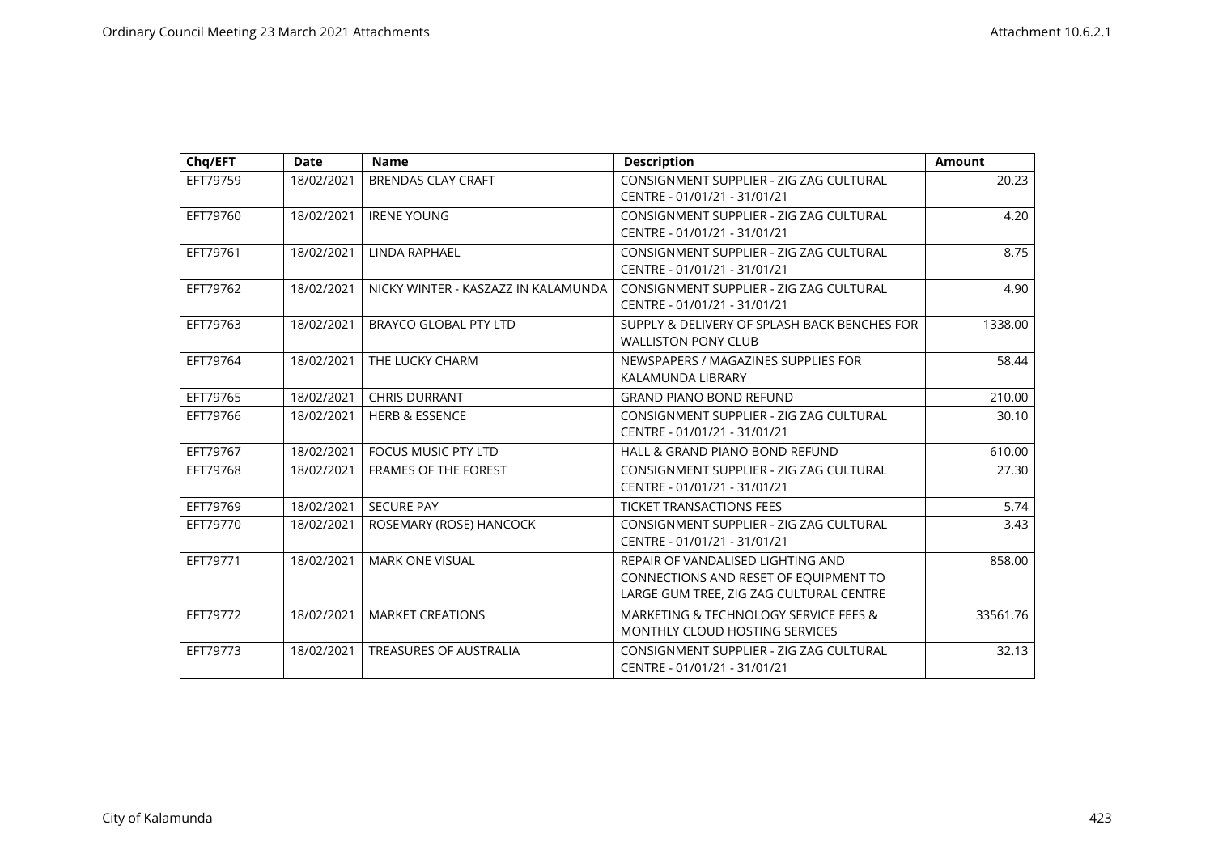| Chq/EFT  | <b>Date</b> | <b>Name</b>                         | <b>Description</b>                                                                                                    | <b>Amount</b> |
|----------|-------------|-------------------------------------|-----------------------------------------------------------------------------------------------------------------------|---------------|
| EFT79759 | 18/02/2021  | <b>BRENDAS CLAY CRAFT</b>           | CONSIGNMENT SUPPLIER - ZIG ZAG CULTURAL<br>CENTRE - 01/01/21 - 31/01/21                                               | 20.23         |
| EFT79760 | 18/02/2021  | <b>IRENE YOUNG</b>                  | CONSIGNMENT SUPPLIER - ZIG ZAG CULTURAL<br>CENTRE - 01/01/21 - 31/01/21                                               | 4.20          |
| EFT79761 | 18/02/2021  | LINDA RAPHAEL                       | CONSIGNMENT SUPPLIER - ZIG ZAG CULTURAL<br>CENTRE - 01/01/21 - 31/01/21                                               | 8.75          |
| EFT79762 | 18/02/2021  | NICKY WINTER - KASZAZZ IN KALAMUNDA | CONSIGNMENT SUPPLIER - ZIG ZAG CULTURAL<br>CENTRE - 01/01/21 - 31/01/21                                               | 4.90          |
| EFT79763 | 18/02/2021  | <b>BRAYCO GLOBAL PTY LTD</b>        | SUPPLY & DELIVERY OF SPLASH BACK BENCHES FOR<br><b>WALLISTON PONY CLUB</b>                                            | 1338.00       |
| EFT79764 | 18/02/2021  | THE LUCKY CHARM                     | NEWSPAPERS / MAGAZINES SUPPLIES FOR<br>KALAMUNDA LIBRARY                                                              | 58.44         |
| EFT79765 | 18/02/2021  | <b>CHRIS DURRANT</b>                | <b>GRAND PIANO BOND REFUND</b>                                                                                        | 210.00        |
| EFT79766 | 18/02/2021  | <b>HERB &amp; ESSENCE</b>           | CONSIGNMENT SUPPLIER - ZIG ZAG CULTURAL<br>CENTRE - 01/01/21 - 31/01/21                                               | 30.10         |
| EFT79767 | 18/02/2021  | <b>FOCUS MUSIC PTY LTD</b>          | HALL & GRAND PIANO BOND REFUND                                                                                        | 610.00        |
| EFT79768 | 18/02/2021  | <b>FRAMES OF THE FOREST</b>         | CONSIGNMENT SUPPLIER - ZIG ZAG CULTURAL<br>CENTRE - 01/01/21 - 31/01/21                                               | 27.30         |
| EFT79769 | 18/02/2021  | <b>SECURE PAY</b>                   | <b>TICKET TRANSACTIONS FEES</b>                                                                                       | 5.74          |
| EFT79770 | 18/02/2021  | ROSEMARY (ROSE) HANCOCK             | CONSIGNMENT SUPPLIER - ZIG ZAG CULTURAL<br>CENTRE - 01/01/21 - 31/01/21                                               | 3.43          |
| EFT79771 | 18/02/2021  | <b>MARK ONE VISUAL</b>              | REPAIR OF VANDALISED LIGHTING AND<br>CONNECTIONS AND RESET OF EQUIPMENT TO<br>LARGE GUM TREE, ZIG ZAG CULTURAL CENTRE | 858.00        |
| EFT79772 | 18/02/2021  | <b>MARKET CREATIONS</b>             | MARKETING & TECHNOLOGY SERVICE FEES &<br><b>MONTHLY CLOUD HOSTING SERVICES</b>                                        | 33561.76      |
| EFT79773 | 18/02/2021  | <b>TREASURES OF AUSTRALIA</b>       | CONSIGNMENT SUPPLIER - ZIG ZAG CULTURAL<br>CENTRE - 01/01/21 - 31/01/21                                               | 32.13         |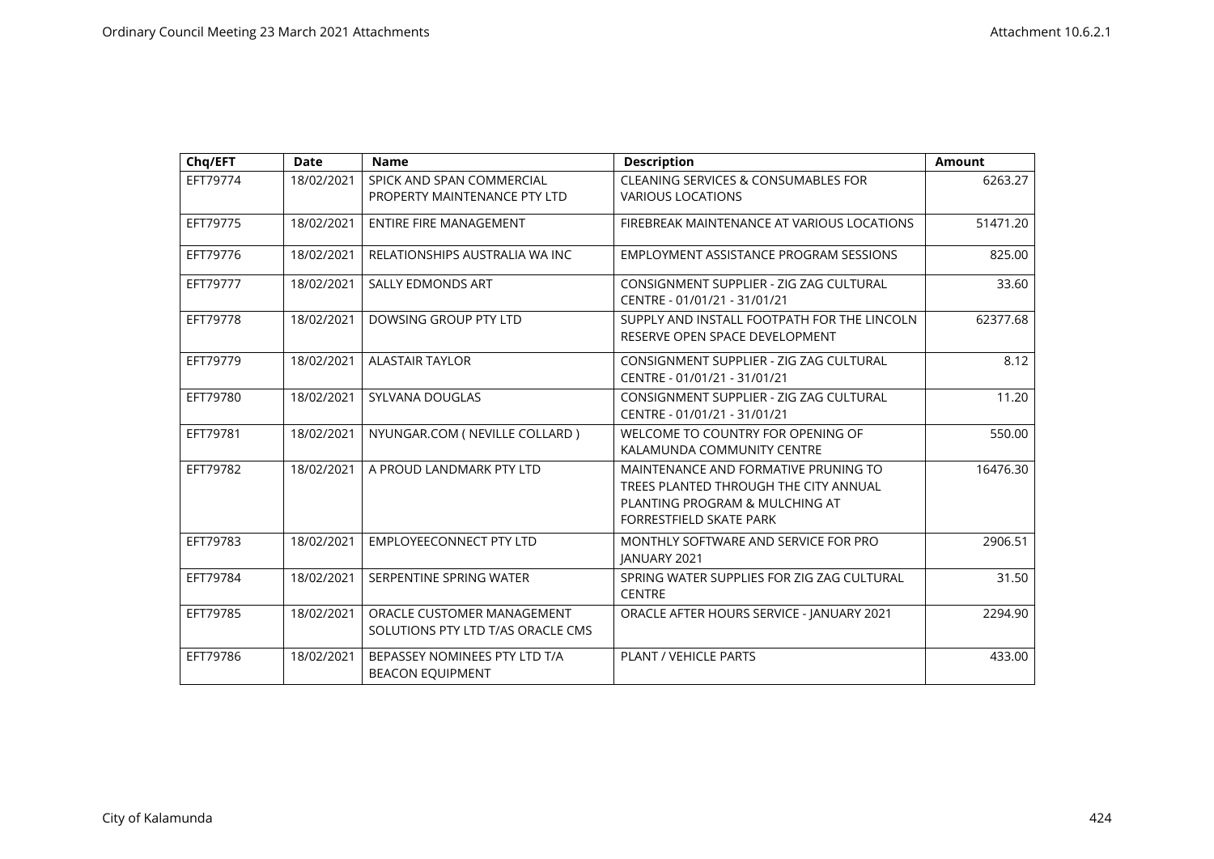| Chq/EFT  | <b>Date</b> | <b>Name</b>                                                     | <b>Description</b>                                                                                                                         | Amount   |
|----------|-------------|-----------------------------------------------------------------|--------------------------------------------------------------------------------------------------------------------------------------------|----------|
| EFT79774 | 18/02/2021  | SPICK AND SPAN COMMERCIAL<br>PROPERTY MAINTENANCE PTY LTD       | <b>CLEANING SERVICES &amp; CONSUMABLES FOR</b><br><b>VARIOUS LOCATIONS</b>                                                                 | 6263.27  |
| EFT79775 | 18/02/2021  | <b>ENTIRE FIRE MANAGEMENT</b>                                   | FIREBREAK MAINTENANCE AT VARIOUS LOCATIONS                                                                                                 | 51471.20 |
| EFT79776 | 18/02/2021  | RELATIONSHIPS AUSTRALIA WA INC                                  | EMPLOYMENT ASSISTANCE PROGRAM SESSIONS                                                                                                     | 825.00   |
| EFT79777 | 18/02/2021  | <b>SALLY EDMONDS ART</b>                                        | CONSIGNMENT SUPPLIER - ZIG ZAG CULTURAL<br>CENTRE - 01/01/21 - 31/01/21                                                                    | 33.60    |
| EFT79778 | 18/02/2021  | DOWSING GROUP PTY LTD                                           | SUPPLY AND INSTALL FOOTPATH FOR THE LINCOLN<br>RESERVE OPEN SPACE DEVELOPMENT                                                              | 62377.68 |
| EFT79779 | 18/02/2021  | <b>ALASTAIR TAYLOR</b>                                          | CONSIGNMENT SUPPLIER - ZIG ZAG CULTURAL<br>CENTRE - 01/01/21 - 31/01/21                                                                    | 8.12     |
| EFT79780 | 18/02/2021  | SYLVANA DOUGLAS                                                 | CONSIGNMENT SUPPLIER - ZIG ZAG CULTURAL<br>CENTRE - 01/01/21 - 31/01/21                                                                    | 11.20    |
| EFT79781 | 18/02/2021  | NYUNGAR.COM ( NEVILLE COLLARD )                                 | WELCOME TO COUNTRY FOR OPENING OF<br>KALAMUNDA COMMUNITY CENTRE                                                                            | 550.00   |
| EFT79782 | 18/02/2021  | A PROUD LANDMARK PTY LTD                                        | MAINTENANCE AND FORMATIVE PRUNING TO<br>TREES PLANTED THROUGH THE CITY ANNUAL<br>PLANTING PROGRAM & MULCHING AT<br>FORRESTFIELD SKATE PARK | 16476.30 |
| EFT79783 | 18/02/2021  | <b>EMPLOYEECONNECT PTY LTD</b>                                  | MONTHLY SOFTWARE AND SERVICE FOR PRO<br><b>JANUARY 2021</b>                                                                                | 2906.51  |
| EFT79784 | 18/02/2021  | SERPENTINE SPRING WATER                                         | SPRING WATER SUPPLIES FOR ZIG ZAG CULTURAL<br><b>CENTRE</b>                                                                                | 31.50    |
| EFT79785 | 18/02/2021  | ORACLE CUSTOMER MANAGEMENT<br>SOLUTIONS PTY LTD T/AS ORACLE CMS | ORACLE AFTER HOURS SERVICE - JANUARY 2021                                                                                                  | 2294.90  |
| EFT79786 | 18/02/2021  | BEPASSEY NOMINEES PTY LTD T/A<br><b>BEACON EQUIPMENT</b>        | PLANT / VEHICLE PARTS                                                                                                                      | 433.00   |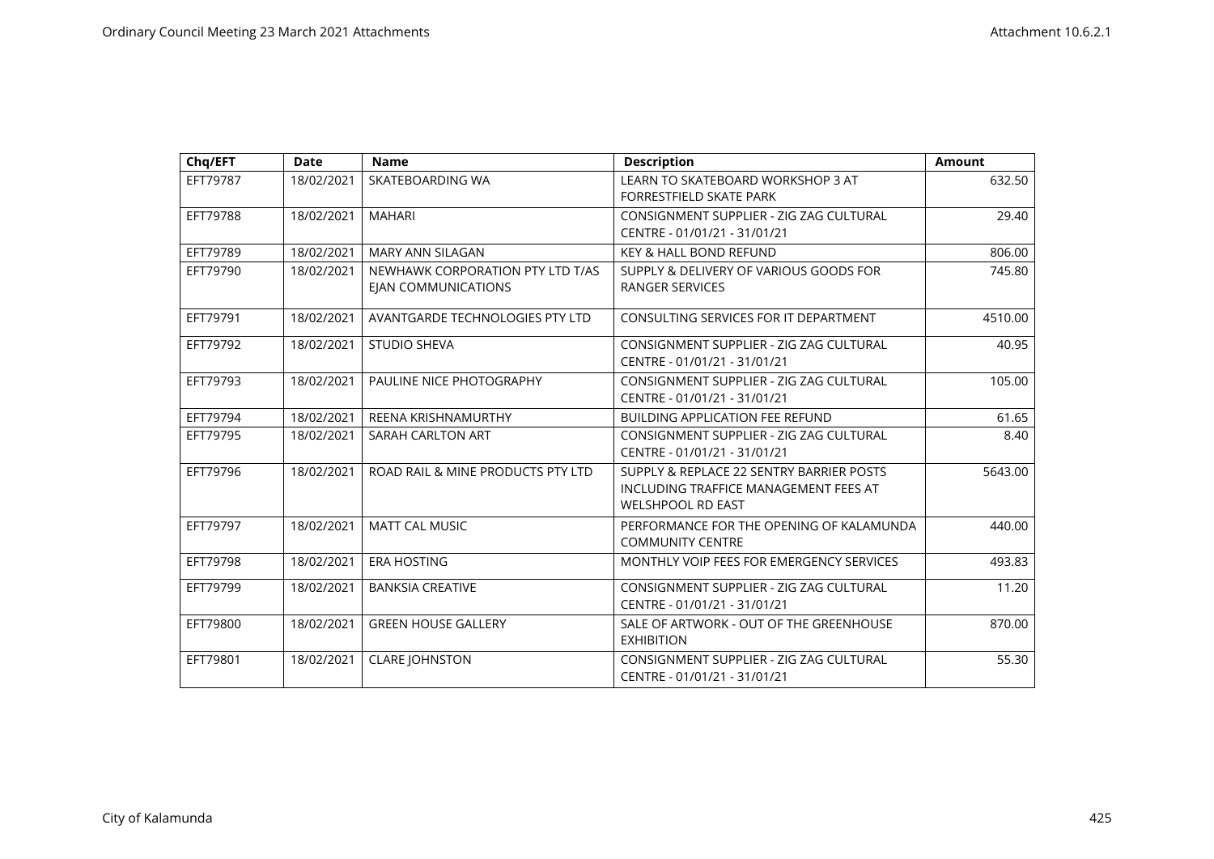| Chq/EFT  | <b>Date</b> | <b>Name</b>                                                    | <b>Description</b>                                                                                            | <b>Amount</b> |
|----------|-------------|----------------------------------------------------------------|---------------------------------------------------------------------------------------------------------------|---------------|
| EFT79787 | 18/02/2021  | SKATEBOARDING WA                                               | LEARN TO SKATEBOARD WORKSHOP 3 AT<br>FORRESTFIELD SKATE PARK                                                  | 632.50        |
| EFT79788 | 18/02/2021  | <b>MAHARI</b>                                                  | CONSIGNMENT SUPPLIER - ZIG ZAG CULTURAL<br>CENTRE - 01/01/21 - 31/01/21                                       | 29.40         |
| EFT79789 | 18/02/2021  | <b>MARY ANN SILAGAN</b>                                        | <b>KEY &amp; HALL BOND REFUND</b>                                                                             | 806.00        |
| EFT79790 | 18/02/2021  | NEWHAWK CORPORATION PTY LTD T/AS<br><b>EIAN COMMUNICATIONS</b> | SUPPLY & DELIVERY OF VARIOUS GOODS FOR<br><b>RANGER SERVICES</b>                                              | 745.80        |
| EFT79791 | 18/02/2021  | AVANTGARDE TECHNOLOGIES PTY LTD                                | CONSULTING SERVICES FOR IT DEPARTMENT                                                                         | 4510.00       |
| EFT79792 | 18/02/2021  | <b>STUDIO SHEVA</b>                                            | CONSIGNMENT SUPPLIER - ZIG ZAG CULTURAL<br>CENTRE - 01/01/21 - 31/01/21                                       | 40.95         |
| EFT79793 | 18/02/2021  | PAULINE NICE PHOTOGRAPHY                                       | CONSIGNMENT SUPPLIER - ZIG ZAG CULTURAL<br>CENTRE - 01/01/21 - 31/01/21                                       | 105.00        |
| EFT79794 | 18/02/2021  | <b>REENA KRISHNAMURTHY</b>                                     | <b>BUILDING APPLICATION FEE REFUND</b>                                                                        | 61.65         |
| EFT79795 | 18/02/2021  | SARAH CARLTON ART                                              | CONSIGNMENT SUPPLIER - ZIG ZAG CULTURAL<br>CENTRE - 01/01/21 - 31/01/21                                       | 8.40          |
| EFT79796 | 18/02/2021  | ROAD RAIL & MINE PRODUCTS PTY LTD                              | SUPPLY & REPLACE 22 SENTRY BARRIER POSTS<br>INCLUDING TRAFFICE MANAGEMENT FEES AT<br><b>WELSHPOOL RD EAST</b> | 5643.00       |
| EFT79797 | 18/02/2021  | <b>MATT CAL MUSIC</b>                                          | PERFORMANCE FOR THE OPENING OF KALAMUNDA<br><b>COMMUNITY CENTRE</b>                                           | 440.00        |
| EFT79798 | 18/02/2021  | <b>ERA HOSTING</b>                                             | MONTHLY VOIP FEES FOR EMERGENCY SERVICES                                                                      | 493.83        |
| EFT79799 | 18/02/2021  | <b>BANKSIA CREATIVE</b>                                        | CONSIGNMENT SUPPLIER - ZIG ZAG CULTURAL<br>CENTRE - 01/01/21 - 31/01/21                                       | 11.20         |
| EFT79800 | 18/02/2021  | <b>GREEN HOUSE GALLERY</b>                                     | SALE OF ARTWORK - OUT OF THE GREENHOUSE<br><b>EXHIBITION</b>                                                  | 870.00        |
| EFT79801 | 18/02/2021  | <b>CLARE JOHNSTON</b>                                          | CONSIGNMENT SUPPLIER - ZIG ZAG CULTURAL<br>CENTRE - 01/01/21 - 31/01/21                                       | 55.30         |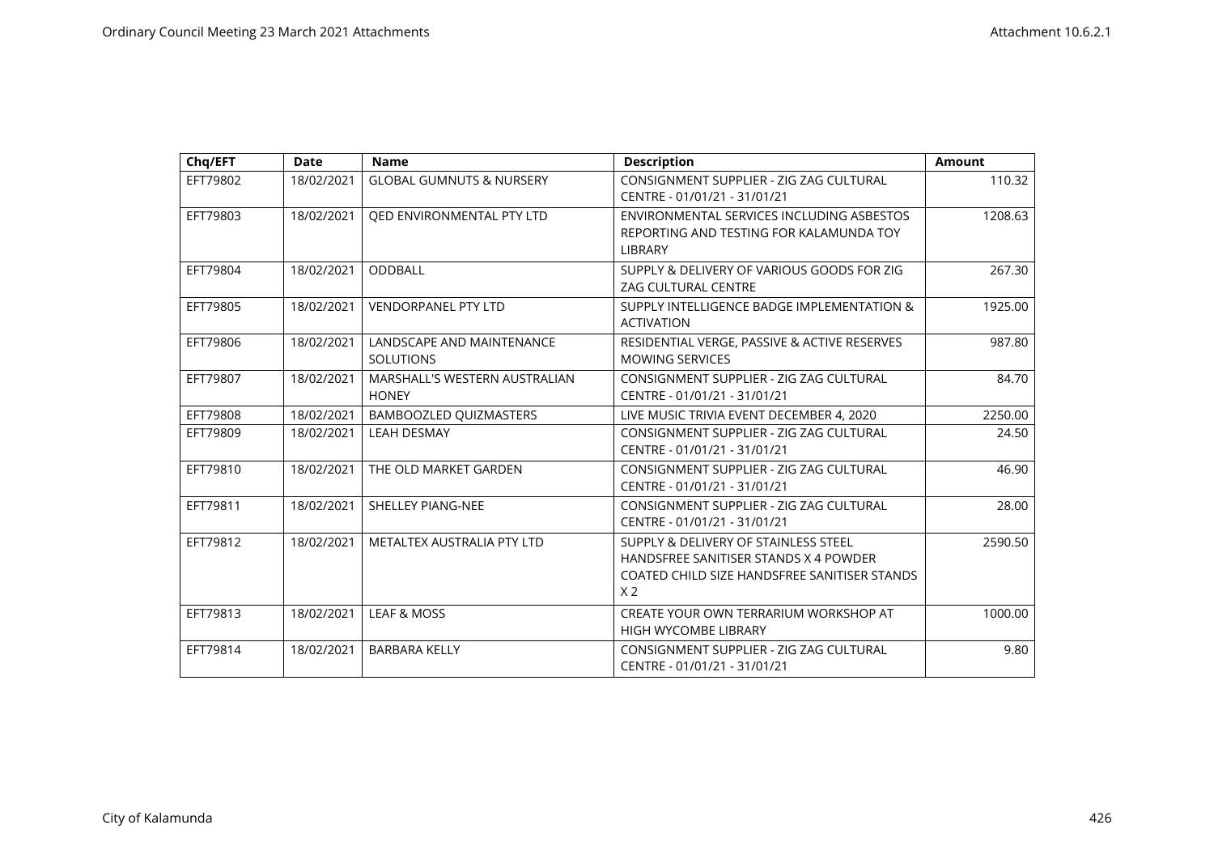| Chq/EFT  | <b>Date</b> | <b>Name</b>                                   | <b>Description</b>                                                                                                                              | <b>Amount</b> |
|----------|-------------|-----------------------------------------------|-------------------------------------------------------------------------------------------------------------------------------------------------|---------------|
| EFT79802 | 18/02/2021  | <b>GLOBAL GUMNUTS &amp; NURSERY</b>           | CONSIGNMENT SUPPLIER - ZIG ZAG CULTURAL<br>CENTRE - 01/01/21 - 31/01/21                                                                         | 110.32        |
| EFT79803 | 18/02/2021  | QED ENVIRONMENTAL PTY LTD                     | ENVIRONMENTAL SERVICES INCLUDING ASBESTOS<br>REPORTING AND TESTING FOR KALAMUNDA TOY<br><b>LIBRARY</b>                                          | 1208.63       |
| EFT79804 | 18/02/2021  | <b>ODDBALL</b>                                | SUPPLY & DELIVERY OF VARIOUS GOODS FOR ZIG<br><b>ZAG CULTURAL CENTRE</b>                                                                        | 267.30        |
| EFT79805 | 18/02/2021  | <b>VENDORPANEL PTY LTD</b>                    | SUPPLY INTELLIGENCE BADGE IMPLEMENTATION &<br><b>ACTIVATION</b>                                                                                 | 1925.00       |
| EFT79806 | 18/02/2021  | LANDSCAPE AND MAINTENANCE<br><b>SOLUTIONS</b> | RESIDENTIAL VERGE, PASSIVE & ACTIVE RESERVES<br><b>MOWING SERVICES</b>                                                                          | 987.80        |
| EFT79807 | 18/02/2021  | MARSHALL'S WESTERN AUSTRALIAN<br><b>HONEY</b> | CONSIGNMENT SUPPLIER - ZIG ZAG CULTURAL<br>CENTRE - 01/01/21 - 31/01/21                                                                         | 84.70         |
| EFT79808 | 18/02/2021  | BAMBOOZLED QUIZMASTERS                        | LIVE MUSIC TRIVIA EVENT DECEMBER 4, 2020                                                                                                        | 2250.00       |
| EFT79809 | 18/02/2021  | <b>LEAH DESMAY</b>                            | CONSIGNMENT SUPPLIER - ZIG ZAG CULTURAL<br>CENTRE - 01/01/21 - 31/01/21                                                                         | 24.50         |
| EFT79810 | 18/02/2021  | THE OLD MARKET GARDEN                         | CONSIGNMENT SUPPLIER - ZIG ZAG CULTURAL<br>CENTRE - 01/01/21 - 31/01/21                                                                         | 46.90         |
| EFT79811 | 18/02/2021  | <b>SHELLEY PIANG-NEE</b>                      | CONSIGNMENT SUPPLIER - ZIG ZAG CULTURAL<br>CENTRE - 01/01/21 - 31/01/21                                                                         | 28.00         |
| EFT79812 | 18/02/2021  | METALTEX AUSTRALIA PTY LTD                    | SUPPLY & DELIVERY OF STAINLESS STEEL<br>HANDSFREE SANITISER STANDS X 4 POWDER<br>COATED CHILD SIZE HANDSFREE SANITISER STANDS<br>X <sub>2</sub> | 2590.50       |
| EFT79813 | 18/02/2021  | <b>LEAF &amp; MOSS</b>                        | CREATE YOUR OWN TERRARIUM WORKSHOP AT<br><b>HIGH WYCOMBE LIBRARY</b>                                                                            | 1000.00       |
| EFT79814 | 18/02/2021  | <b>BARBARA KELLY</b>                          | CONSIGNMENT SUPPLIER - ZIG ZAG CULTURAL<br>CENTRE - 01/01/21 - 31/01/21                                                                         | 9.80          |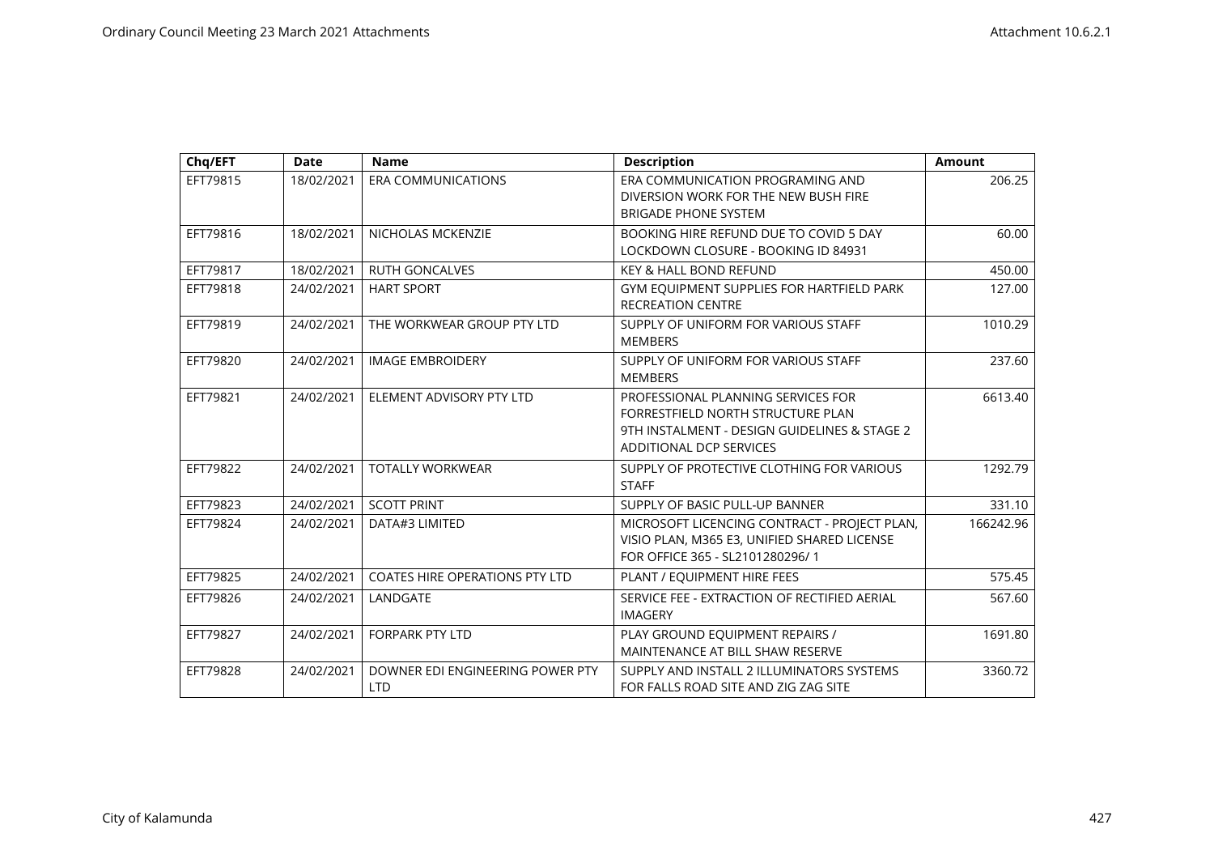| Chq/EFT  | <b>Date</b> | <b>Name</b>                                    | <b>Description</b>                                                                                                                                 | <b>Amount</b> |
|----------|-------------|------------------------------------------------|----------------------------------------------------------------------------------------------------------------------------------------------------|---------------|
| EFT79815 | 18/02/2021  | <b>ERA COMMUNICATIONS</b>                      | ERA COMMUNICATION PROGRAMING AND<br>DIVERSION WORK FOR THE NEW BUSH FIRE<br><b>BRIGADE PHONE SYSTEM</b>                                            | 206.25        |
| EFT79816 | 18/02/2021  | NICHOLAS MCKENZIE                              | BOOKING HIRE REFUND DUE TO COVID 5 DAY<br>LOCKDOWN CLOSURE - BOOKING ID 84931                                                                      | 60.00         |
| EFT79817 | 18/02/2021  | <b>RUTH GONCALVES</b>                          | <b>KEY &amp; HALL BOND REFUND</b>                                                                                                                  | 450.00        |
| EFT79818 | 24/02/2021  | <b>HART SPORT</b>                              | GYM EQUIPMENT SUPPLIES FOR HARTFIELD PARK<br><b>RECREATION CENTRE</b>                                                                              | 127.00        |
| EFT79819 | 24/02/2021  | THE WORKWEAR GROUP PTY LTD                     | SUPPLY OF UNIFORM FOR VARIOUS STAFF<br><b>MEMBERS</b>                                                                                              | 1010.29       |
| EFT79820 | 24/02/2021  | <b>IMAGE EMBROIDERY</b>                        | SUPPLY OF UNIFORM FOR VARIOUS STAFF<br><b>MEMBERS</b>                                                                                              | 237.60        |
| EFT79821 | 24/02/2021  | ELEMENT ADVISORY PTY LTD                       | PROFESSIONAL PLANNING SERVICES FOR<br>FORRESTFIELD NORTH STRUCTURE PLAN<br>9TH INSTALMENT - DESIGN GUIDELINES & STAGE 2<br>ADDITIONAL DCP SERVICES | 6613.40       |
| EFT79822 | 24/02/2021  | <b>TOTALLY WORKWEAR</b>                        | SUPPLY OF PROTECTIVE CLOTHING FOR VARIOUS<br><b>STAFF</b>                                                                                          | 1292.79       |
| EFT79823 | 24/02/2021  | <b>SCOTT PRINT</b>                             | SUPPLY OF BASIC PULL-UP BANNER                                                                                                                     | 331.10        |
| EFT79824 | 24/02/2021  | DATA#3 LIMITED                                 | MICROSOFT LICENCING CONTRACT - PROJECT PLAN,<br>VISIO PLAN, M365 E3, UNIFIED SHARED LICENSE<br>FOR OFFICE 365 - SL2101280296/1                     | 166242.96     |
| EFT79825 | 24/02/2021  | COATES HIRE OPERATIONS PTY LTD                 | PLANT / EQUIPMENT HIRE FEES                                                                                                                        | 575.45        |
| EFT79826 | 24/02/2021  | LANDGATE                                       | SERVICE FEE - EXTRACTION OF RECTIFIED AERIAL<br><b>IMAGERY</b>                                                                                     | 567.60        |
| EFT79827 | 24/02/2021  | <b>FORPARK PTY LTD</b>                         | PLAY GROUND EQUIPMENT REPAIRS /<br>MAINTENANCE AT BILL SHAW RESERVE                                                                                | 1691.80       |
| EFT79828 | 24/02/2021  | DOWNER EDI ENGINEERING POWER PTY<br><b>LTD</b> | SUPPLY AND INSTALL 2 ILLUMINATORS SYSTEMS<br>FOR FALLS ROAD SITE AND ZIG ZAG SITE                                                                  | 3360.72       |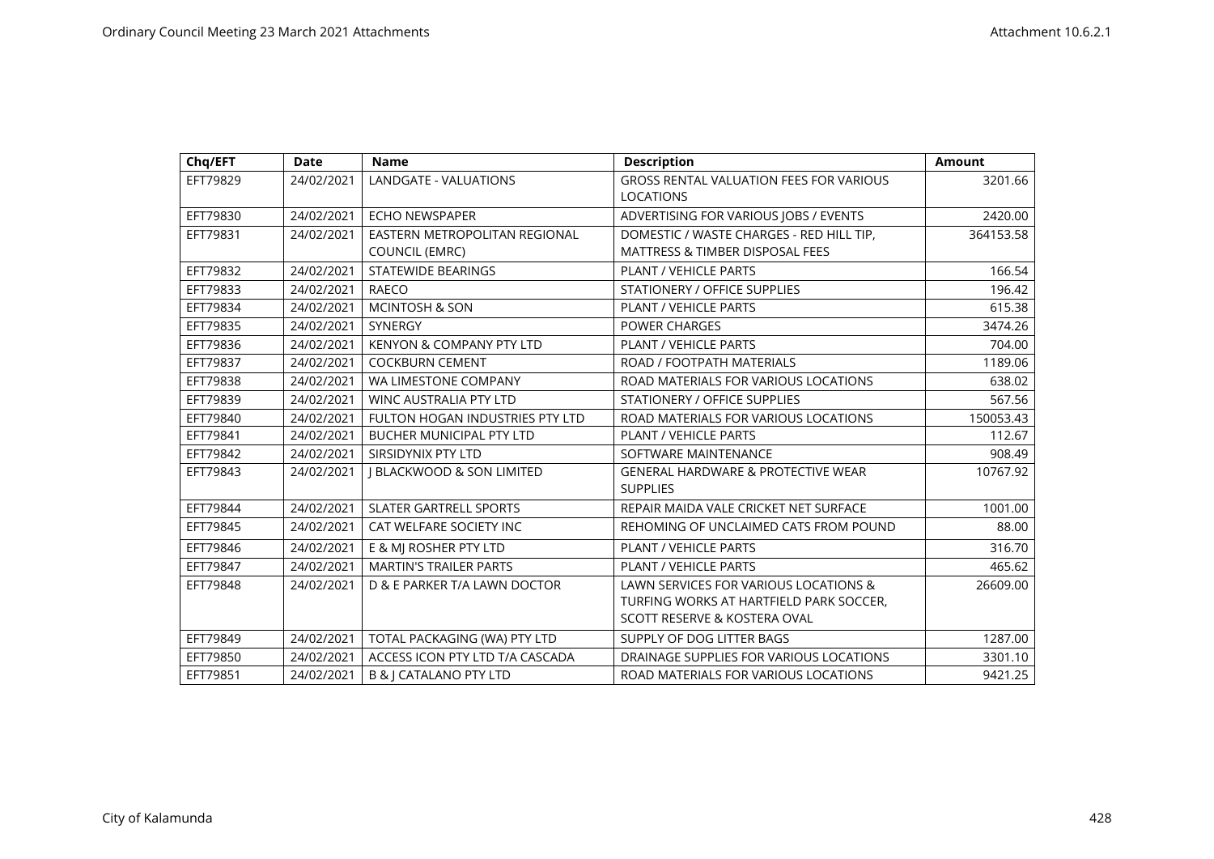| Chq/EFT  | <b>Date</b> | <b>Name</b>                          | <b>Description</b>                                                 | <b>Amount</b> |
|----------|-------------|--------------------------------------|--------------------------------------------------------------------|---------------|
| EFT79829 | 24/02/2021  | LANDGATE - VALUATIONS                | <b>GROSS RENTAL VALUATION FEES FOR VARIOUS</b><br><b>LOCATIONS</b> | 3201.66       |
| EFT79830 | 24/02/2021  | <b>ECHO NEWSPAPER</b>                | ADVERTISING FOR VARIOUS JOBS / EVENTS                              | 2420.00       |
| EFT79831 | 24/02/2021  | EASTERN METROPOLITAN REGIONAL        | DOMESTIC / WASTE CHARGES - RED HILL TIP,                           | 364153.58     |
|          |             | <b>COUNCIL (EMRC)</b>                | <b>MATTRESS &amp; TIMBER DISPOSAL FEES</b>                         |               |
| EFT79832 | 24/02/2021  | <b>STATEWIDE BEARINGS</b>            | PLANT / VEHICLE PARTS                                              | 166.54        |
| EFT79833 | 24/02/2021  | <b>RAECO</b>                         | <b>STATIONERY / OFFICE SUPPLIES</b>                                | 196.42        |
| EFT79834 | 24/02/2021  | <b>MCINTOSH &amp; SON</b>            | PLANT / VEHICLE PARTS                                              | 615.38        |
| EFT79835 | 24/02/2021  | SYNERGY                              | <b>POWER CHARGES</b>                                               | 3474.26       |
| EFT79836 | 24/02/2021  | <b>KENYON &amp; COMPANY PTY LTD</b>  | <b>PLANT / VEHICLE PARTS</b>                                       | 704.00        |
| EFT79837 | 24/02/2021  | <b>COCKBURN CEMENT</b>               | ROAD / FOOTPATH MATERIALS                                          | 1189.06       |
| EFT79838 | 24/02/2021  | WA LIMESTONE COMPANY                 | ROAD MATERIALS FOR VARIOUS LOCATIONS                               | 638.02        |
| EFT79839 | 24/02/2021  | <b>WINC AUSTRALIA PTY LTD</b>        | <b>STATIONERY / OFFICE SUPPLIES</b>                                | 567.56        |
| EFT79840 | 24/02/2021  | FULTON HOGAN INDUSTRIES PTY LTD      | ROAD MATERIALS FOR VARIOUS LOCATIONS                               | 150053.43     |
| EFT79841 | 24/02/2021  | <b>BUCHER MUNICIPAL PTY LTD</b>      | PLANT / VEHICLE PARTS                                              | 112.67        |
| EFT79842 | 24/02/2021  | SIRSIDYNIX PTY LTD                   | SOFTWARE MAINTENANCE                                               | 908.49        |
| EFT79843 | 24/02/2021  | <b>I BLACKWOOD &amp; SON LIMITED</b> | <b>GENERAL HARDWARE &amp; PROTECTIVE WEAR</b><br><b>SUPPLIES</b>   | 10767.92      |
| EFT79844 | 24/02/2021  | <b>SLATER GARTRELL SPORTS</b>        | REPAIR MAIDA VALE CRICKET NET SURFACE                              | 1001.00       |
| EFT79845 | 24/02/2021  | CAT WELFARE SOCIETY INC              | REHOMING OF UNCLAIMED CATS FROM POUND                              | 88.00         |
| EFT79846 | 24/02/2021  | E & MJ ROSHER PTY LTD                | PLANT / VEHICLE PARTS                                              | 316.70        |
| EFT79847 | 24/02/2021  | <b>MARTIN'S TRAILER PARTS</b>        | PLANT / VEHICLE PARTS                                              | 465.62        |
| EFT79848 | 24/02/2021  | D & E PARKER T/A LAWN DOCTOR         | LAWN SERVICES FOR VARIOUS LOCATIONS &                              | 26609.00      |
|          |             |                                      | TURFING WORKS AT HARTFIELD PARK SOCCER.                            |               |
|          |             |                                      | SCOTT RESERVE & KOSTERA OVAL                                       |               |
| EFT79849 | 24/02/2021  | TOTAL PACKAGING (WA) PTY LTD         | SUPPLY OF DOG LITTER BAGS                                          | 1287.00       |
| EFT79850 | 24/02/2021  | ACCESS ICON PTY LTD T/A CASCADA      | DRAINAGE SUPPLIES FOR VARIOUS LOCATIONS                            | 3301.10       |
| EFT79851 | 24/02/2021  | <b>B &amp; J CATALANO PTY LTD</b>    | ROAD MATERIALS FOR VARIOUS LOCATIONS                               | 9421.25       |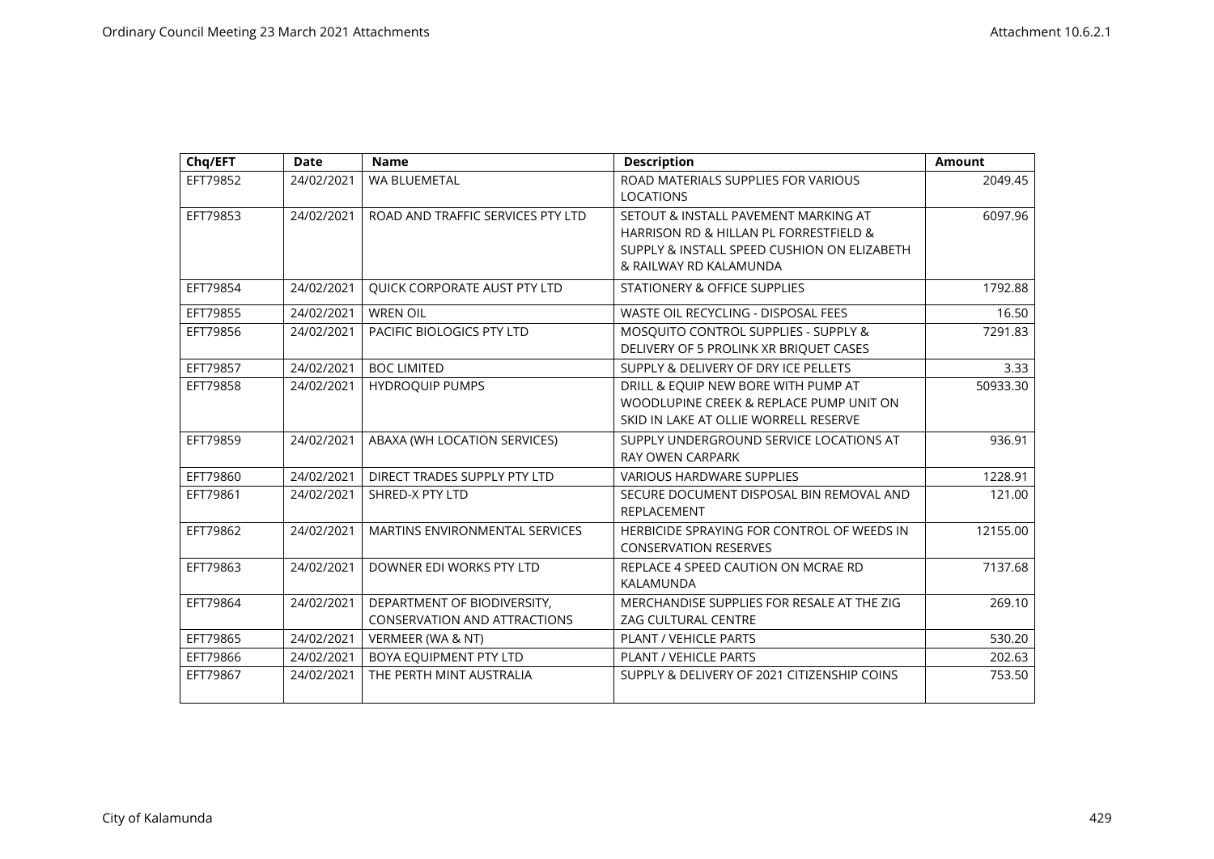| Chq/EFT  | <b>Date</b> | <b>Name</b>                                                        | <b>Description</b>                                                                                                                                      | <b>Amount</b> |
|----------|-------------|--------------------------------------------------------------------|---------------------------------------------------------------------------------------------------------------------------------------------------------|---------------|
| EFT79852 | 24/02/2021  | <b>WA BLUEMETAL</b>                                                | ROAD MATERIALS SUPPLIES FOR VARIOUS<br><b>LOCATIONS</b>                                                                                                 | 2049.45       |
| EFT79853 | 24/02/2021  | ROAD AND TRAFFIC SERVICES PTY LTD                                  | SETOUT & INSTALL PAVEMENT MARKING AT<br>HARRISON RD & HILLAN PL FORRESTFIELD &<br>SUPPLY & INSTALL SPEED CUSHION ON ELIZABETH<br>& RAILWAY RD KALAMUNDA | 6097.96       |
| EFT79854 | 24/02/2021  | QUICK CORPORATE AUST PTY LTD                                       | STATIONERY & OFFICE SUPPLIES                                                                                                                            | 1792.88       |
| EFT79855 | 24/02/2021  | <b>WREN OIL</b>                                                    | WASTE OIL RECYCLING - DISPOSAL FEES                                                                                                                     | 16.50         |
| EFT79856 | 24/02/2021  | PACIFIC BIOLOGICS PTY LTD                                          | MOSQUITO CONTROL SUPPLIES - SUPPLY &<br>DELIVERY OF 5 PROLINK XR BRIQUET CASES                                                                          | 7291.83       |
| EFT79857 | 24/02/2021  | <b>BOC LIMITED</b>                                                 | SUPPLY & DELIVERY OF DRY ICE PELLETS                                                                                                                    | 3.33          |
| EFT79858 | 24/02/2021  | <b>HYDROQUIP PUMPS</b>                                             | DRILL & EQUIP NEW BORE WITH PUMP AT<br>WOODLUPINE CREEK & REPLACE PUMP UNIT ON<br>SKID IN LAKE AT OLLIE WORRELL RESERVE                                 | 50933.30      |
| EFT79859 | 24/02/2021  | ABAXA (WH LOCATION SERVICES)                                       | SUPPLY UNDERGROUND SERVICE LOCATIONS AT<br><b>RAY OWEN CARPARK</b>                                                                                      | 936.91        |
| EFT79860 | 24/02/2021  | DIRECT TRADES SUPPLY PTY LTD                                       | <b>VARIOUS HARDWARE SUPPLIES</b>                                                                                                                        | 1228.91       |
| EFT79861 | 24/02/2021  | <b>SHRED-X PTY LTD</b>                                             | SECURE DOCUMENT DISPOSAL BIN REMOVAL AND<br><b>REPLACEMENT</b>                                                                                          | 121.00        |
| EFT79862 | 24/02/2021  | MARTINS ENVIRONMENTAL SERVICES                                     | HERBICIDE SPRAYING FOR CONTROL OF WEEDS IN<br><b>CONSERVATION RESERVES</b>                                                                              | 12155.00      |
| EFT79863 | 24/02/2021  | DOWNER EDI WORKS PTY LTD                                           | REPLACE 4 SPEED CAUTION ON MCRAE RD<br>KALAMUNDA                                                                                                        | 7137.68       |
| EFT79864 | 24/02/2021  | DEPARTMENT OF BIODIVERSITY,<br><b>CONSERVATION AND ATTRACTIONS</b> | MERCHANDISE SUPPLIES FOR RESALE AT THE ZIG<br>ZAG CULTURAL CENTRE                                                                                       | 269.10        |
| EFT79865 | 24/02/2021  | VERMEER (WA & NT)                                                  | <b>PLANT / VEHICLE PARTS</b>                                                                                                                            | 530.20        |
| EFT79866 | 24/02/2021  | BOYA EQUIPMENT PTY LTD                                             | PLANT / VEHICLE PARTS                                                                                                                                   | 202.63        |
| EFT79867 | 24/02/2021  | THE PERTH MINT AUSTRALIA                                           | SUPPLY & DELIVERY OF 2021 CITIZENSHIP COINS                                                                                                             | 753.50        |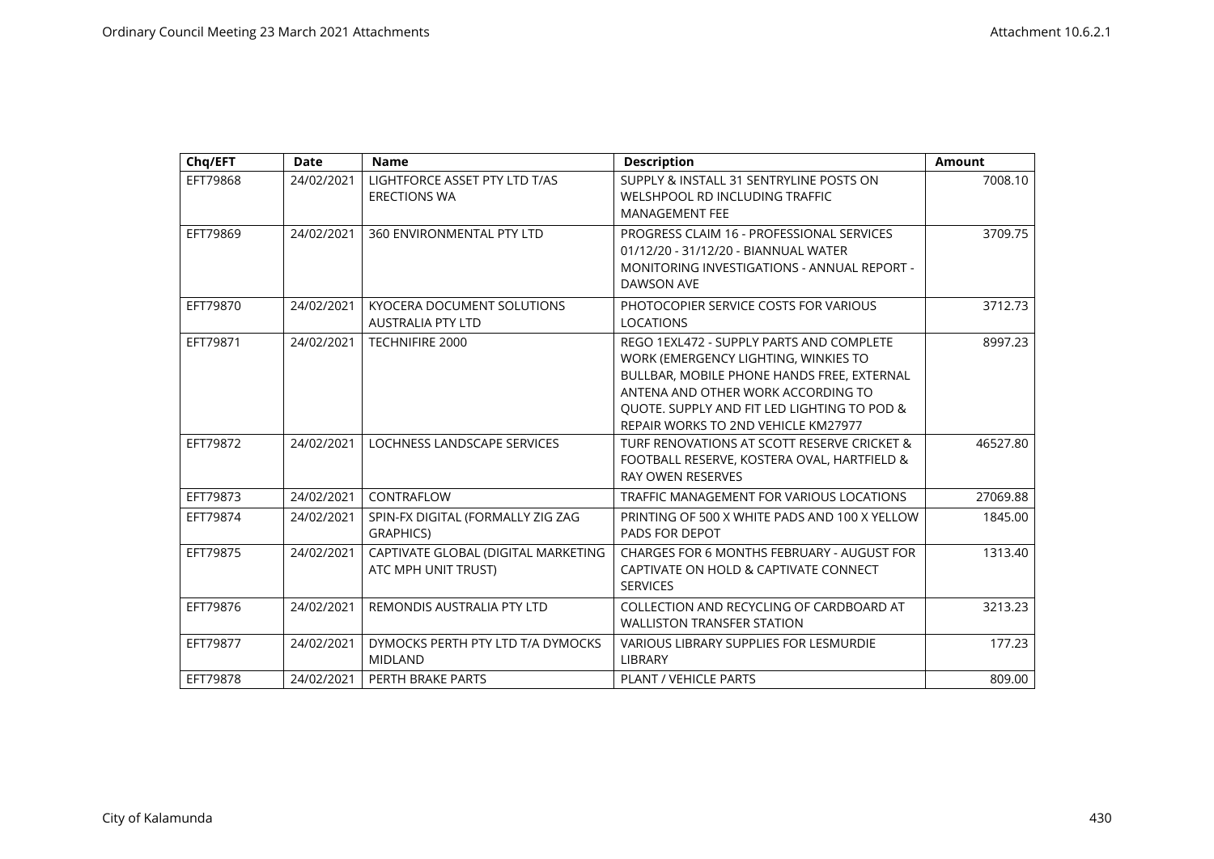| Chq/EFT  | <b>Date</b> | <b>Name</b>                                                   | <b>Description</b>                                                                                                                                                                                                                                         | <b>Amount</b> |
|----------|-------------|---------------------------------------------------------------|------------------------------------------------------------------------------------------------------------------------------------------------------------------------------------------------------------------------------------------------------------|---------------|
| EFT79868 | 24/02/2021  | LIGHTFORCE ASSET PTY LTD T/AS<br><b>ERECTIONS WA</b>          | SUPPLY & INSTALL 31 SENTRYLINE POSTS ON<br>WELSHPOOL RD INCLUDING TRAFFIC<br><b>MANAGEMENT FEE</b>                                                                                                                                                         | 7008.10       |
| EFT79869 | 24/02/2021  | 360 ENVIRONMENTAL PTY LTD                                     | PROGRESS CLAIM 16 - PROFESSIONAL SERVICES<br>01/12/20 - 31/12/20 - BIANNUAL WATER<br>MONITORING INVESTIGATIONS - ANNUAL REPORT -<br>DAWSON AVE                                                                                                             | 3709.75       |
| EFT79870 | 24/02/2021  | <b>KYOCERA DOCUMENT SOLUTIONS</b><br><b>AUSTRALIA PTY LTD</b> | PHOTOCOPIER SERVICE COSTS FOR VARIOUS<br><b>LOCATIONS</b>                                                                                                                                                                                                  | 3712.73       |
| EFT79871 | 24/02/2021  | <b>TECHNIFIRE 2000</b>                                        | REGO 1EXL472 - SUPPLY PARTS AND COMPLETE<br>WORK (EMERGENCY LIGHTING, WINKIES TO<br>BULLBAR, MOBILE PHONE HANDS FREE, EXTERNAL<br>ANTENA AND OTHER WORK ACCORDING TO<br>QUOTE. SUPPLY AND FIT LED LIGHTING TO POD &<br>REPAIR WORKS TO 2ND VEHICLE KM27977 | 8997.23       |
| EFT79872 | 24/02/2021  | LOCHNESS LANDSCAPE SERVICES                                   | TURF RENOVATIONS AT SCOTT RESERVE CRICKET &<br>FOOTBALL RESERVE, KOSTERA OVAL, HARTFIELD &<br><b>RAY OWEN RESERVES</b>                                                                                                                                     | 46527.80      |
| EFT79873 | 24/02/2021  | CONTRAFLOW                                                    | TRAFFIC MANAGEMENT FOR VARIOUS LOCATIONS                                                                                                                                                                                                                   | 27069.88      |
| EFT79874 | 24/02/2021  | SPIN-FX DIGITAL (FORMALLY ZIG ZAG<br><b>GRAPHICS)</b>         | PRINTING OF 500 X WHITE PADS AND 100 X YELLOW<br>PADS FOR DEPOT                                                                                                                                                                                            | 1845.00       |
| EFT79875 | 24/02/2021  | CAPTIVATE GLOBAL (DIGITAL MARKETING<br>ATC MPH UNIT TRUST)    | CHARGES FOR 6 MONTHS FEBRUARY - AUGUST FOR<br>CAPTIVATE ON HOLD & CAPTIVATE CONNECT<br><b>SERVICES</b>                                                                                                                                                     | 1313.40       |
| EFT79876 | 24/02/2021  | REMONDIS AUSTRALIA PTY LTD                                    | COLLECTION AND RECYCLING OF CARDBOARD AT<br><b>WALLISTON TRANSFER STATION</b>                                                                                                                                                                              | 3213.23       |
| EFT79877 | 24/02/2021  | DYMOCKS PERTH PTY LTD T/A DYMOCKS<br><b>MIDLAND</b>           | <b>VARIOUS LIBRARY SUPPLIES FOR LESMURDIE</b><br>LIBRARY                                                                                                                                                                                                   | 177.23        |
| EFT79878 | 24/02/2021  | PERTH BRAKE PARTS                                             | PLANT / VEHICLE PARTS                                                                                                                                                                                                                                      | 809.00        |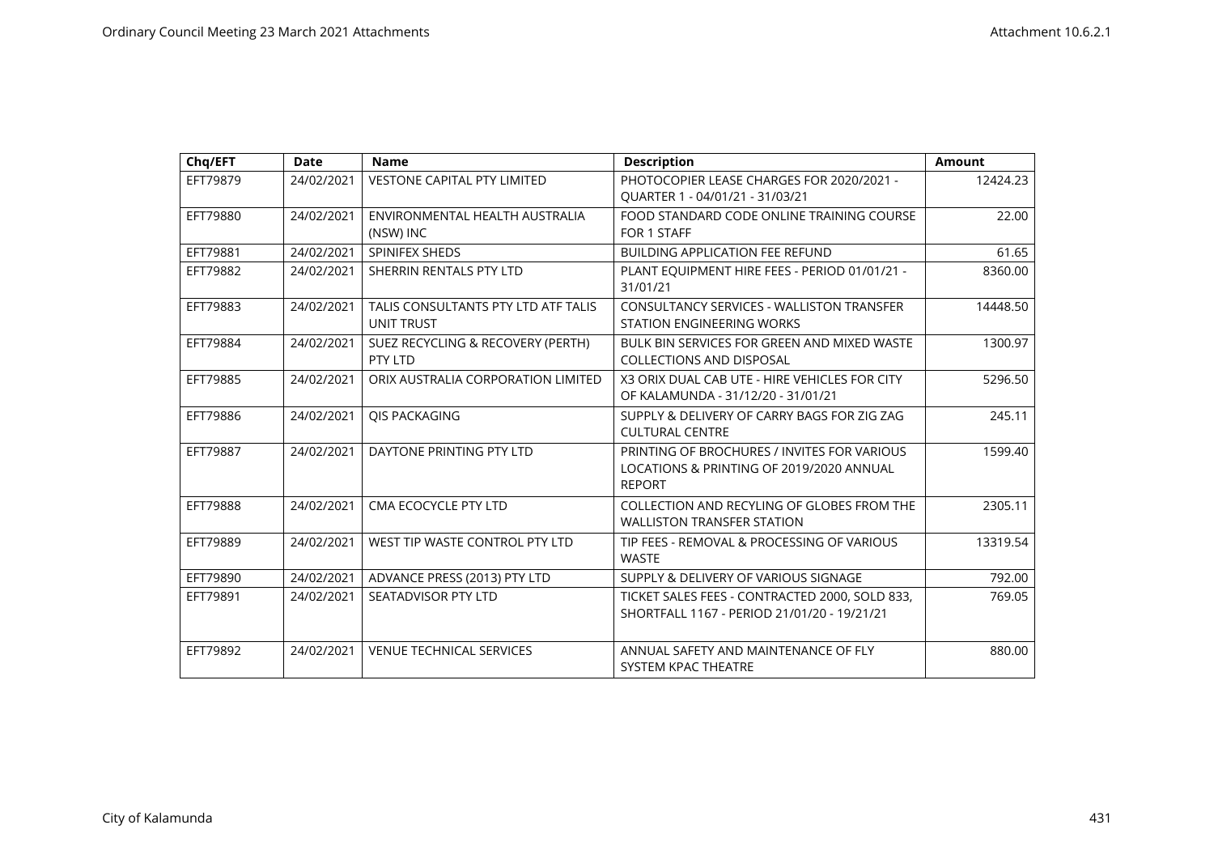| Chq/EFT  | <b>Date</b> | <b>Name</b>                                              | <b>Description</b>                                                                                       | <b>Amount</b> |
|----------|-------------|----------------------------------------------------------|----------------------------------------------------------------------------------------------------------|---------------|
| EFT79879 | 24/02/2021  | <b>VESTONE CAPITAL PTY LIMITED</b>                       | PHOTOCOPIER LEASE CHARGES FOR 2020/2021 -<br>OUARTER 1 - 04/01/21 - 31/03/21                             | 12424.23      |
| EFT79880 | 24/02/2021  | ENVIRONMENTAL HEALTH AUSTRALIA<br>(NSW) INC              | FOOD STANDARD CODE ONLINE TRAINING COURSE<br>FOR 1 STAFF                                                 | 22.00         |
| EFT79881 | 24/02/2021  | SPINIFEX SHEDS                                           | <b>BUILDING APPLICATION FEE REFUND</b>                                                                   | 61.65         |
| EFT79882 | 24/02/2021  | SHERRIN RENTALS PTY LTD                                  | PLANT EQUIPMENT HIRE FEES - PERIOD 01/01/21 -<br>31/01/21                                                | 8360.00       |
| EFT79883 | 24/02/2021  | TALIS CONSULTANTS PTY LTD ATF TALIS<br><b>UNIT TRUST</b> | <b>CONSULTANCY SERVICES - WALLISTON TRANSFER</b><br><b>STATION ENGINEERING WORKS</b>                     | 14448.50      |
| EFT79884 | 24/02/2021  | SUEZ RECYCLING & RECOVERY (PERTH)<br>PTY LTD             | BULK BIN SERVICES FOR GREEN AND MIXED WASTE<br><b>COLLECTIONS AND DISPOSAL</b>                           | 1300.97       |
| EFT79885 | 24/02/2021  | ORIX AUSTRALIA CORPORATION LIMITED                       | X3 ORIX DUAL CAB UTE - HIRE VEHICLES FOR CITY<br>OF KALAMUNDA - 31/12/20 - 31/01/21                      | 5296.50       |
| EFT79886 | 24/02/2021  | QIS PACKAGING                                            | SUPPLY & DELIVERY OF CARRY BAGS FOR ZIG ZAG<br><b>CULTURAL CENTRE</b>                                    | 245.11        |
| EFT79887 | 24/02/2021  | DAYTONE PRINTING PTY LTD                                 | PRINTING OF BROCHURES / INVITES FOR VARIOUS<br>LOCATIONS & PRINTING OF 2019/2020 ANNUAL<br><b>REPORT</b> | 1599.40       |
| EFT79888 | 24/02/2021  | CMA ECOCYCLE PTY LTD                                     | COLLECTION AND RECYLING OF GLOBES FROM THE<br><b>WALLISTON TRANSFER STATION</b>                          | 2305.11       |
| EFT79889 | 24/02/2021  | WEST TIP WASTE CONTROL PTY LTD                           | TIP FEES - REMOVAL & PROCESSING OF VARIOUS<br><b>WASTE</b>                                               | 13319.54      |
| EFT79890 | 24/02/2021  | ADVANCE PRESS (2013) PTY LTD                             | SUPPLY & DELIVERY OF VARIOUS SIGNAGE                                                                     | 792.00        |
| EFT79891 | 24/02/2021  | SEATADVISOR PTY LTD                                      | TICKET SALES FEES - CONTRACTED 2000, SOLD 833,<br>SHORTFALL 1167 - PERIOD 21/01/20 - 19/21/21            | 769.05        |
| EFT79892 | 24/02/2021  | <b>VENUE TECHNICAL SERVICES</b>                          | ANNUAL SAFETY AND MAINTENANCE OF FLY<br>SYSTEM KPAC THEATRE                                              | 880.00        |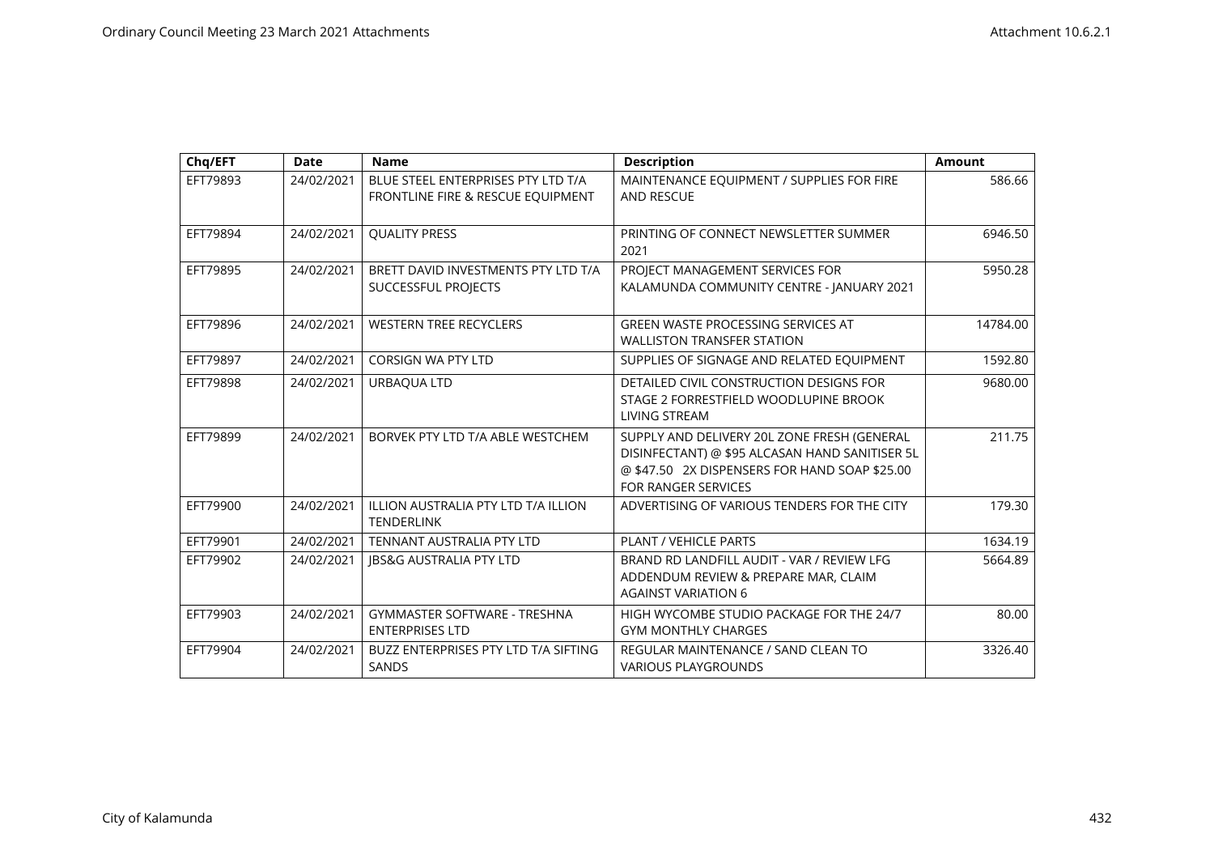| Chq/EFT  | <b>Date</b> | <b>Name</b>                                                             | <b>Description</b>                                                                                                                                                           | <b>Amount</b> |
|----------|-------------|-------------------------------------------------------------------------|------------------------------------------------------------------------------------------------------------------------------------------------------------------------------|---------------|
| EFT79893 | 24/02/2021  | BLUE STEEL ENTERPRISES PTY LTD T/A<br>FRONTLINE FIRE & RESCUE EQUIPMENT | MAINTENANCE EQUIPMENT / SUPPLIES FOR FIRE<br><b>AND RESCUE</b>                                                                                                               | 586.66        |
| EFT79894 | 24/02/2021  | <b>QUALITY PRESS</b>                                                    | PRINTING OF CONNECT NEWSLETTER SUMMER<br>2021                                                                                                                                | 6946.50       |
| EFT79895 | 24/02/2021  | BRETT DAVID INVESTMENTS PTY LTD T/A<br>SUCCESSFUL PROJECTS              | PROJECT MANAGEMENT SERVICES FOR<br>KALAMUNDA COMMUNITY CENTRE - JANUARY 2021                                                                                                 | 5950.28       |
| EFT79896 | 24/02/2021  | <b>WESTERN TREE RECYCLERS</b>                                           | <b>GREEN WASTE PROCESSING SERVICES AT</b><br><b>WALLISTON TRANSFER STATION</b>                                                                                               | 14784.00      |
| EFT79897 | 24/02/2021  | <b>CORSIGN WA PTY LTD</b>                                               | SUPPLIES OF SIGNAGE AND RELATED EQUIPMENT                                                                                                                                    | 1592.80       |
| EFT79898 | 24/02/2021  | URBAQUA LTD                                                             | DETAILED CIVIL CONSTRUCTION DESIGNS FOR<br>STAGE 2 FORRESTFIELD WOODLUPINE BROOK<br><b>LIVING STREAM</b>                                                                     | 9680.00       |
| EFT79899 | 24/02/2021  | BORVEK PTY LTD T/A ABLE WESTCHEM                                        | SUPPLY AND DELIVERY 20L ZONE FRESH (GENERAL<br>DISINFECTANT) @ \$95 ALCASAN HAND SANITISER 5L<br>@ \$47.50 2X DISPENSERS FOR HAND SOAP \$25.00<br><b>FOR RANGER SERVICES</b> | 211.75        |
| EFT79900 | 24/02/2021  | <b>ILLION AUSTRALIA PTY LTD T/A ILLION</b><br><b>TENDERLINK</b>         | ADVERTISING OF VARIOUS TENDERS FOR THE CITY                                                                                                                                  | 179.30        |
| EFT79901 | 24/02/2021  | TENNANT AUSTRALIA PTY LTD                                               | PLANT / VEHICLE PARTS                                                                                                                                                        | 1634.19       |
| EFT79902 | 24/02/2021  | <b>IBS&amp;G AUSTRALIA PTY LTD</b>                                      | BRAND RD LANDFILL AUDIT - VAR / REVIEW LFG<br>ADDENDUM REVIEW & PREPARE MAR, CLAIM<br><b>AGAINST VARIATION 6</b>                                                             | 5664.89       |
| EFT79903 | 24/02/2021  | GYMMASTER SOFTWARE - TRESHNA<br><b>ENTERPRISES LTD</b>                  | HIGH WYCOMBE STUDIO PACKAGE FOR THE 24/7<br><b>GYM MONTHLY CHARGES</b>                                                                                                       | 80.00         |
| EFT79904 | 24/02/2021  | BUZZ ENTERPRISES PTY LTD T/A SIFTING<br><b>SANDS</b>                    | REGULAR MAINTENANCE / SAND CLEAN TO<br><b>VARIOUS PLAYGROUNDS</b>                                                                                                            | 3326.40       |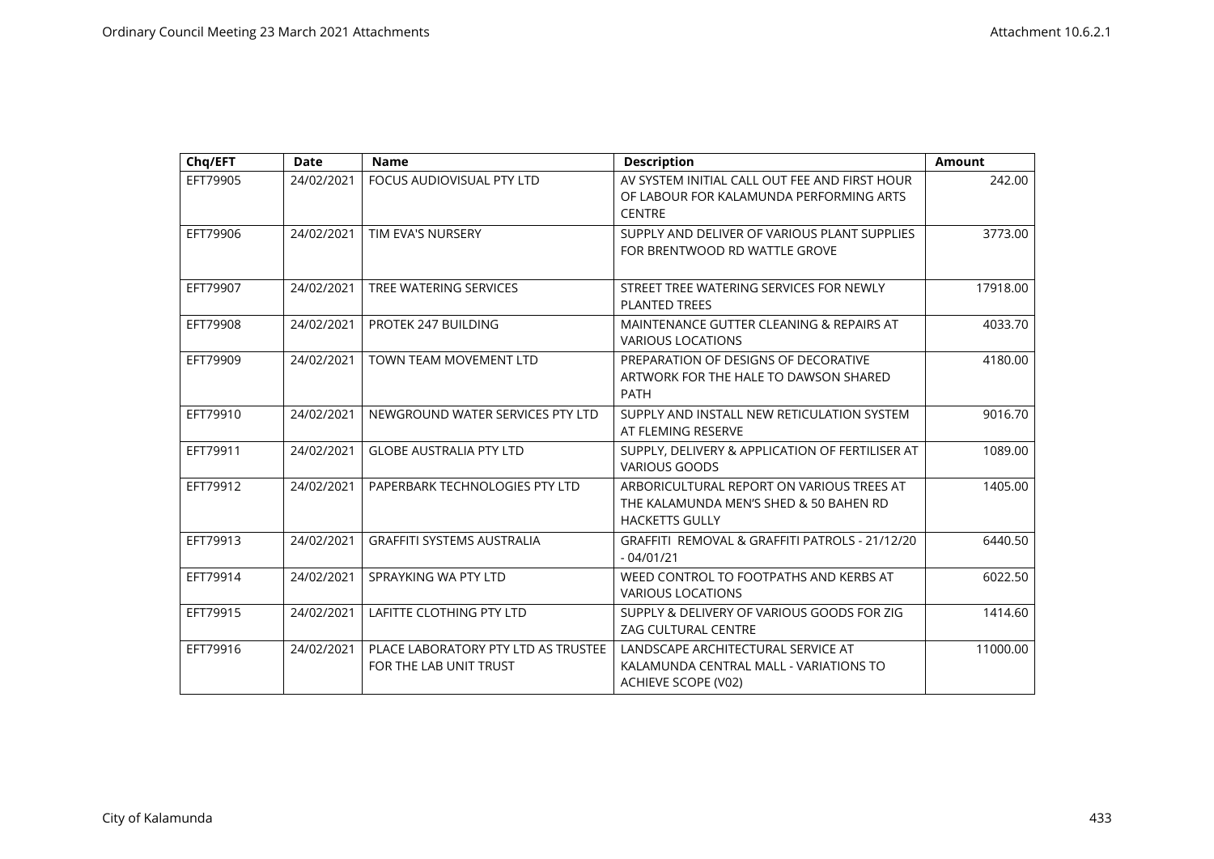| Chq/EFT  | <b>Date</b> | <b>Name</b>                                                   | <b>Description</b>                                                                                           | Amount   |
|----------|-------------|---------------------------------------------------------------|--------------------------------------------------------------------------------------------------------------|----------|
| EFT79905 | 24/02/2021  | <b>FOCUS AUDIOVISUAL PTY LTD</b>                              | AV SYSTEM INITIAL CALL OUT FEE AND FIRST HOUR<br>OF LABOUR FOR KALAMUNDA PERFORMING ARTS<br><b>CENTRE</b>    | 242.00   |
| EFT79906 | 24/02/2021  | TIM EVA'S NURSERY                                             | SUPPLY AND DELIVER OF VARIOUS PLANT SUPPLIES<br>FOR BRENTWOOD RD WATTLE GROVE                                | 3773.00  |
| EFT79907 | 24/02/2021  | <b>TREE WATERING SERVICES</b>                                 | STREET TREE WATERING SERVICES FOR NEWLY<br><b>PLANTED TREES</b>                                              | 17918.00 |
| EFT79908 | 24/02/2021  | PROTEK 247 BUILDING                                           | MAINTENANCE GUTTER CLEANING & REPAIRS AT<br><b>VARIOUS LOCATIONS</b>                                         | 4033.70  |
| EFT79909 | 24/02/2021  | <b>TOWN TEAM MOVEMENT LTD</b>                                 | PREPARATION OF DESIGNS OF DECORATIVE<br>ARTWORK FOR THE HALE TO DAWSON SHARED<br><b>PATH</b>                 | 4180.00  |
| EFT79910 | 24/02/2021  | NEWGROUND WATER SERVICES PTY LTD                              | SUPPLY AND INSTALL NEW RETICULATION SYSTEM<br>AT FLEMING RESERVE                                             | 9016.70  |
| EFT79911 | 24/02/2021  | <b>GLOBE AUSTRALIA PTY LTD</b>                                | SUPPLY, DELIVERY & APPLICATION OF FERTILISER AT<br><b>VARIOUS GOODS</b>                                      | 1089.00  |
| EFT79912 | 24/02/2021  | PAPERBARK TECHNOLOGIES PTY LTD                                | ARBORICULTURAL REPORT ON VARIOUS TREES AT<br>THE KALAMUNDA MEN'S SHED & 50 BAHEN RD<br><b>HACKETTS GULLY</b> | 1405.00  |
| EFT79913 | 24/02/2021  | <b>GRAFFITI SYSTEMS AUSTRALIA</b>                             | GRAFFITI REMOVAL & GRAFFITI PATROLS - 21/12/20<br>$-04/01/21$                                                | 6440.50  |
| EFT79914 | 24/02/2021  | SPRAYKING WA PTY LTD                                          | WEED CONTROL TO FOOTPATHS AND KERBS AT<br><b>VARIOUS LOCATIONS</b>                                           | 6022.50  |
| EFT79915 | 24/02/2021  | <b>LAFITTE CLOTHING PTY LTD</b>                               | SUPPLY & DELIVERY OF VARIOUS GOODS FOR ZIG<br><b>ZAG CULTURAL CENTRE</b>                                     | 1414.60  |
| EFT79916 | 24/02/2021  | PLACE LABORATORY PTY LTD AS TRUSTEE<br>FOR THE LAB UNIT TRUST | LANDSCAPE ARCHITECTURAL SERVICE AT<br>KALAMUNDA CENTRAL MALL - VARIATIONS TO<br>ACHIEVE SCOPE (V02)          | 11000.00 |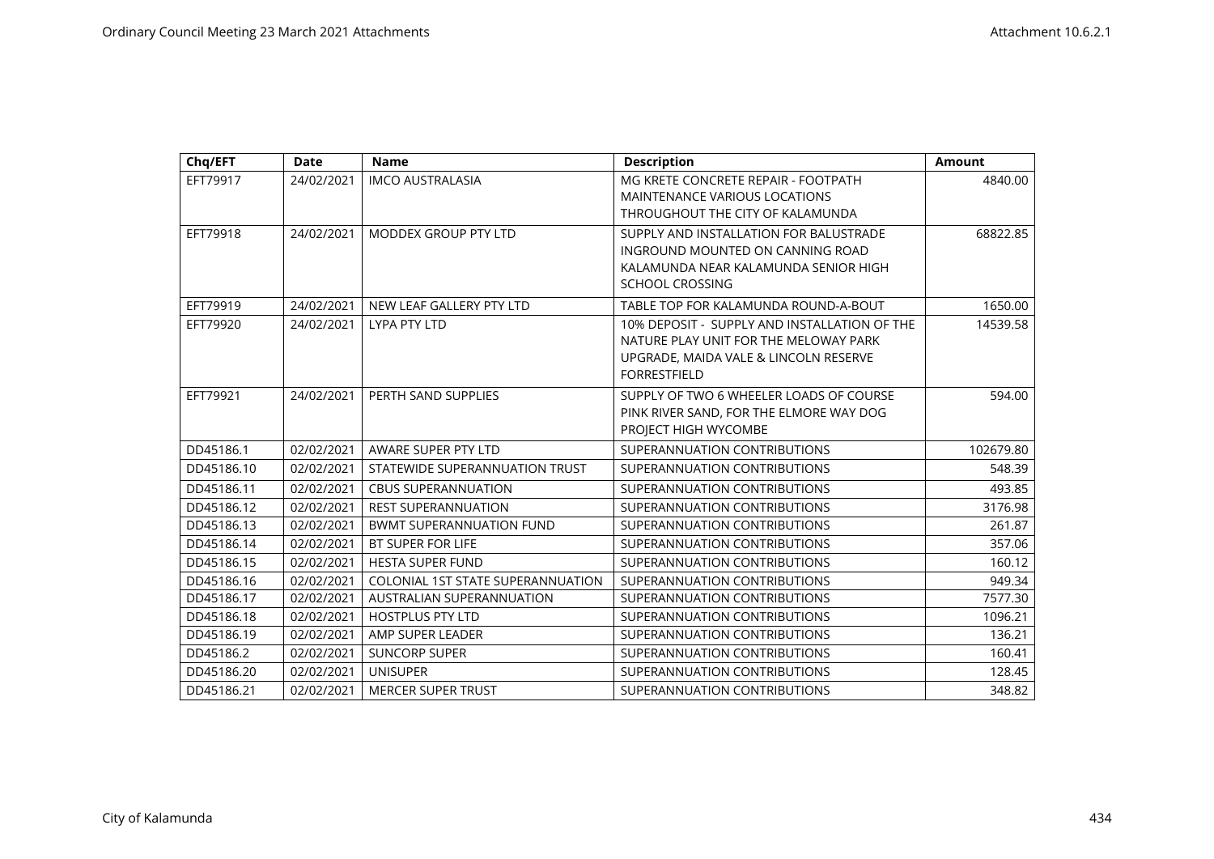| Chq/EFT    | <b>Date</b> | <b>Name</b>                              | <b>Description</b>                           | <b>Amount</b> |
|------------|-------------|------------------------------------------|----------------------------------------------|---------------|
| EFT79917   | 24/02/2021  | <b>IMCO AUSTRALASIA</b>                  | MG KRETE CONCRETE REPAIR - FOOTPATH          | 4840.00       |
|            |             |                                          | MAINTENANCE VARIOUS LOCATIONS                |               |
|            |             |                                          | THROUGHOUT THE CITY OF KALAMUNDA             |               |
| EFT79918   | 24/02/2021  | MODDEX GROUP PTY LTD                     | SUPPLY AND INSTALLATION FOR BALUSTRADE       | 68822.85      |
|            |             |                                          | INGROUND MOUNTED ON CANNING ROAD             |               |
|            |             |                                          | KALAMUNDA NEAR KALAMUNDA SENIOR HIGH         |               |
|            |             |                                          | <b>SCHOOL CROSSING</b>                       |               |
| EFT79919   | 24/02/2021  | NEW LEAF GALLERY PTY LTD                 | TABLE TOP FOR KALAMUNDA ROUND-A-BOUT         | 1650.00       |
| EFT79920   | 24/02/2021  | <b>LYPA PTY LTD</b>                      | 10% DEPOSIT - SUPPLY AND INSTALLATION OF THE | 14539.58      |
|            |             |                                          | NATURE PLAY UNIT FOR THE MELOWAY PARK        |               |
|            |             |                                          | UPGRADE, MAIDA VALE & LINCOLN RESERVE        |               |
|            |             |                                          | <b>FORRESTFIELD</b>                          |               |
| EFT79921   | 24/02/2021  | PERTH SAND SUPPLIES                      | SUPPLY OF TWO 6 WHEELER LOADS OF COURSE      | 594.00        |
|            |             |                                          | PINK RIVER SAND, FOR THE ELMORE WAY DOG      |               |
|            |             |                                          | PROJECT HIGH WYCOMBE                         |               |
| DD45186.1  | 02/02/2021  | AWARE SUPER PTY LTD                      | SUPERANNUATION CONTRIBUTIONS                 | 102679.80     |
| DD45186.10 | 02/02/2021  | STATEWIDE SUPERANNUATION TRUST           | SUPERANNUATION CONTRIBUTIONS                 | 548.39        |
| DD45186.11 | 02/02/2021  | <b>CBUS SUPERANNUATION</b>               | SUPERANNUATION CONTRIBUTIONS                 | 493.85        |
| DD45186.12 | 02/02/2021  | <b>REST SUPERANNUATION</b>               | SUPERANNUATION CONTRIBUTIONS                 | 3176.98       |
| DD45186.13 | 02/02/2021  | <b>BWMT SUPERANNUATION FUND</b>          | SUPERANNUATION CONTRIBUTIONS                 | 261.87        |
| DD45186.14 | 02/02/2021  | BT SUPER FOR LIFE                        | SUPERANNUATION CONTRIBUTIONS                 | 357.06        |
| DD45186.15 | 02/02/2021  | <b>HESTA SUPER FUND</b>                  | SUPERANNUATION CONTRIBUTIONS                 | 160.12        |
| DD45186.16 | 02/02/2021  | <b>COLONIAL 1ST STATE SUPERANNUATION</b> | SUPERANNUATION CONTRIBUTIONS                 | 949.34        |
| DD45186.17 | 02/02/2021  | AUSTRALIAN SUPERANNUATION                | SUPERANNUATION CONTRIBUTIONS                 | 7577.30       |
| DD45186.18 | 02/02/2021  | <b>HOSTPLUS PTY LTD</b>                  | SUPERANNUATION CONTRIBUTIONS                 | 1096.21       |
| DD45186.19 | 02/02/2021  | AMP SUPER LEADER                         | SUPERANNUATION CONTRIBUTIONS                 | 136.21        |
| DD45186.2  | 02/02/2021  | <b>SUNCORP SUPER</b>                     | SUPERANNUATION CONTRIBUTIONS                 | 160.41        |
| DD45186.20 | 02/02/2021  | <b>UNISUPER</b>                          | SUPERANNUATION CONTRIBUTIONS                 | 128.45        |
| DD45186.21 | 02/02/2021  | <b>MERCER SUPER TRUST</b>                | SUPERANNUATION CONTRIBUTIONS                 | 348.82        |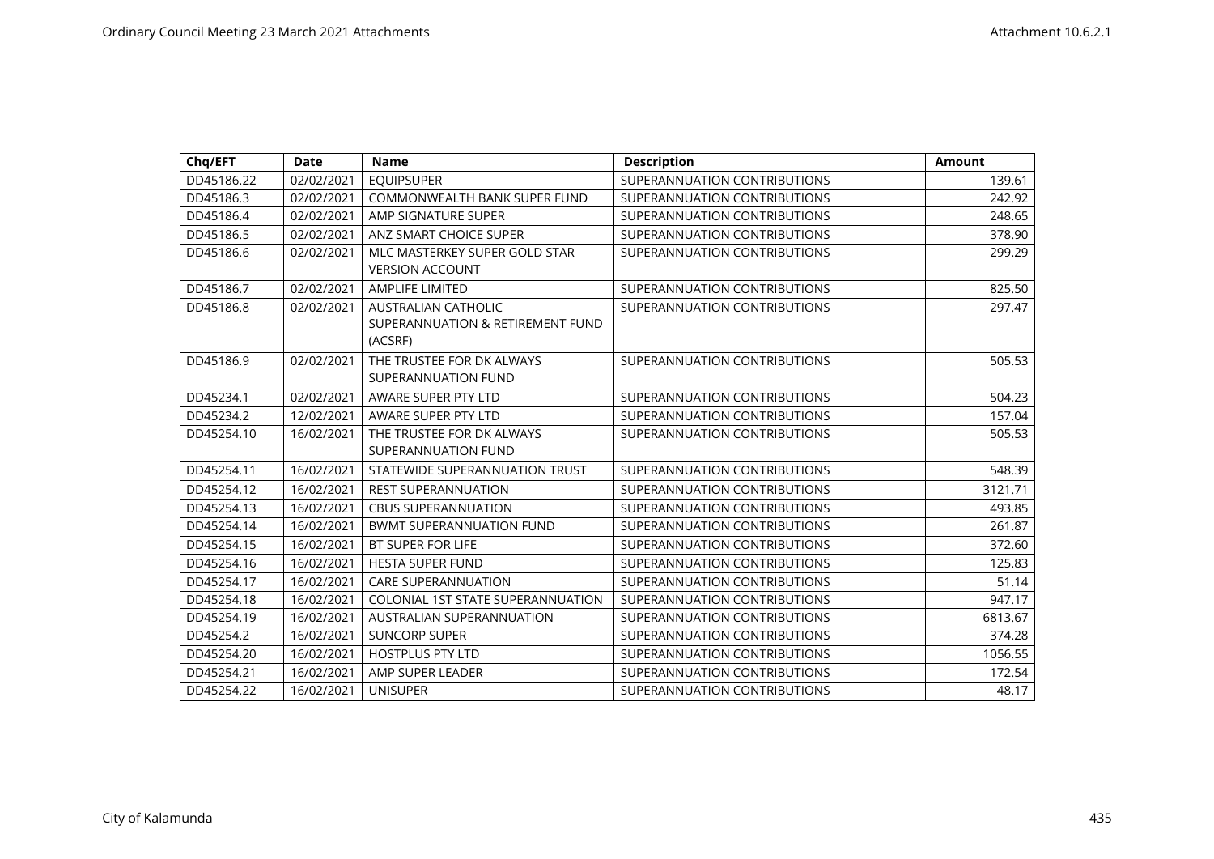| Chq/EFT    | <b>Date</b> | <b>Name</b>                                                               | <b>Description</b>           | <b>Amount</b> |
|------------|-------------|---------------------------------------------------------------------------|------------------------------|---------------|
| DD45186.22 | 02/02/2021  | <b>EQUIPSUPER</b>                                                         | SUPERANNUATION CONTRIBUTIONS | 139.61        |
| DD45186.3  | 02/02/2021  | <b>COMMONWEALTH BANK SUPER FUND</b>                                       | SUPERANNUATION CONTRIBUTIONS | 242.92        |
| DD45186.4  | 02/02/2021  | AMP SIGNATURE SUPER                                                       | SUPERANNUATION CONTRIBUTIONS | 248.65        |
| DD45186.5  | 02/02/2021  | ANZ SMART CHOICE SUPER                                                    | SUPERANNUATION CONTRIBUTIONS | 378.90        |
| DD45186.6  | 02/02/2021  | MLC MASTERKEY SUPER GOLD STAR<br><b>VERSION ACCOUNT</b>                   | SUPERANNUATION CONTRIBUTIONS | 299.29        |
| DD45186.7  | 02/02/2021  | <b>AMPLIFE LIMITED</b>                                                    | SUPERANNUATION CONTRIBUTIONS | 825.50        |
| DD45186.8  | 02/02/2021  | <b>AUSTRALIAN CATHOLIC</b><br>SUPERANNUATION & RETIREMENT FUND<br>(ACSRF) | SUPERANNUATION CONTRIBUTIONS | 297.47        |
| DD45186.9  | 02/02/2021  | THE TRUSTEE FOR DK ALWAYS<br>SUPERANNUATION FUND                          | SUPERANNUATION CONTRIBUTIONS | 505.53        |
| DD45234.1  | 02/02/2021  | AWARE SUPER PTY LTD                                                       | SUPERANNUATION CONTRIBUTIONS | 504.23        |
| DD45234.2  | 12/02/2021  | AWARE SUPER PTY LTD                                                       | SUPERANNUATION CONTRIBUTIONS | 157.04        |
| DD45254.10 | 16/02/2021  | THE TRUSTEE FOR DK ALWAYS<br>SUPERANNUATION FUND                          | SUPERANNUATION CONTRIBUTIONS | 505.53        |
| DD45254.11 | 16/02/2021  | STATEWIDE SUPERANNUATION TRUST                                            | SUPERANNUATION CONTRIBUTIONS | 548.39        |
| DD45254.12 | 16/02/2021  | <b>REST SUPERANNUATION</b>                                                | SUPERANNUATION CONTRIBUTIONS | 3121.71       |
| DD45254.13 | 16/02/2021  | <b>CBUS SUPERANNUATION</b>                                                | SUPERANNUATION CONTRIBUTIONS | 493.85        |
| DD45254.14 | 16/02/2021  | <b>BWMT SUPERANNUATION FUND</b>                                           | SUPERANNUATION CONTRIBUTIONS | 261.87        |
| DD45254.15 | 16/02/2021  | <b>BT SUPER FOR LIFE</b>                                                  | SUPERANNUATION CONTRIBUTIONS | 372.60        |
| DD45254.16 | 16/02/2021  | <b>HESTA SUPER FUND</b>                                                   | SUPERANNUATION CONTRIBUTIONS | 125.83        |
| DD45254.17 | 16/02/2021  | <b>CARE SUPERANNUATION</b>                                                | SUPERANNUATION CONTRIBUTIONS | 51.14         |
| DD45254.18 | 16/02/2021  | <b>COLONIAL 1ST STATE SUPERANNUATION</b>                                  | SUPERANNUATION CONTRIBUTIONS | 947.17        |
| DD45254.19 | 16/02/2021  | AUSTRALIAN SUPERANNUATION                                                 | SUPERANNUATION CONTRIBUTIONS | 6813.67       |
| DD45254.2  | 16/02/2021  | <b>SUNCORP SUPER</b>                                                      | SUPERANNUATION CONTRIBUTIONS | 374.28        |
| DD45254.20 | 16/02/2021  | <b>HOSTPLUS PTY LTD</b>                                                   | SUPERANNUATION CONTRIBUTIONS | 1056.55       |
| DD45254.21 | 16/02/2021  | AMP SUPER LEADER                                                          | SUPERANNUATION CONTRIBUTIONS | 172.54        |
| DD45254.22 | 16/02/2021  | <b>UNISUPER</b>                                                           | SUPERANNUATION CONTRIBUTIONS | 48.17         |